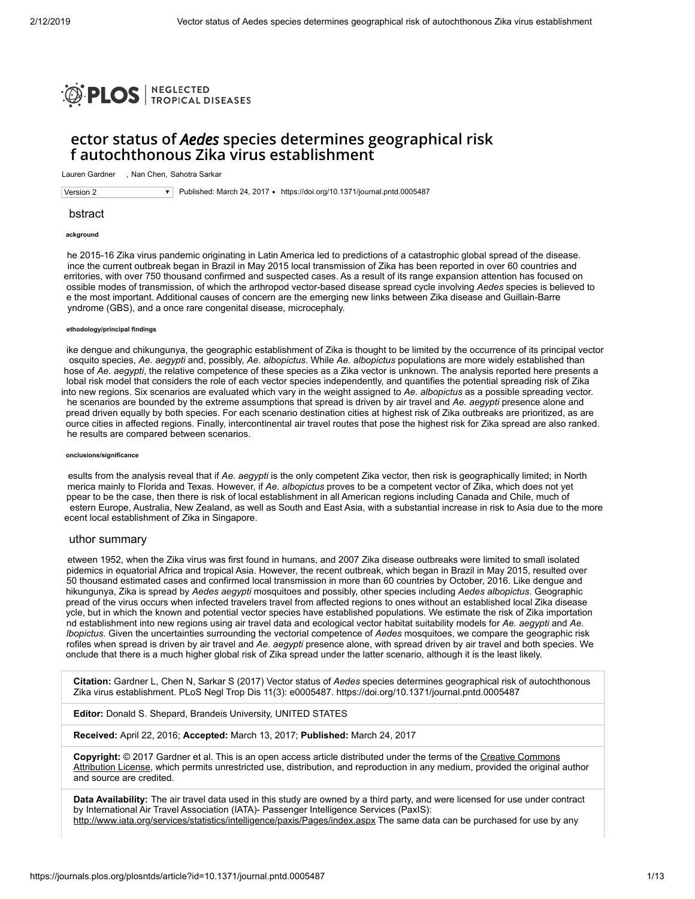

# **ector status of** *Aedes* **species determines geographical risk f autochthonous Zika virus establishment**

Lauren Gardner - Nan Chen, Sahotra Sarkar

Version 2 **Version 2** Published: March 24, 2017 • <https://doi.org/10.1371/journal.pntd.0005487>

## bstract

## **ackground**

he 2015-16 Zika virus pandemic originating in Latin America led to predictions of a catastrophic global spread of the disease. ince the current outbreak began in Brazil in May 2015 local transmission of Zika has been reported in over 60 countries and erritories, with over 750 thousand confirmed and suspected cases. As a result of its range expansion attention has focused on ossible modes of transmission, of which the arthropod vector-based disease spread cycle involving *Aedes* species is believed to e the most important. Additional causes of concern are the emerging new links between Zika disease and Guillain-Barre yndrome (GBS), and a once rare congenital disease, microcephaly.

## **ethodology/principal findings**

ike dengue and chikungunya, the geographic establishment of Zika is thought to be limited by the occurrence of its principal vector osquito species, *Ae. aegypti* and, possibly, *Ae. albopictus*. While *Ae. albopictus* populations are more widely established than hose of *Ae. aegypti*, the relative competence of these species as a Zika vector is unknown. The analysis reported here presents a lobal risk model that considers the role of each vector species independently, and quantifies the potential spreading risk of Zika into new regions. Six scenarios are evaluated which vary in the weight assigned to *Ae. albopictus* as a possible spreading vector. he scenarios are bounded by the extreme assumptions that spread is driven by air travel and *Ae. aegypti* presence alone and pread driven equally by both species. For each scenario destination cities at highest risk of Zika outbreaks are prioritized, as are ource cities in affected regions. Finally, intercontinental air travel routes that pose the highest risk for Zika spread are also ranked. he results are compared between scenarios.

#### **onclusions/significance**

esults from the analysis reveal that if *Ae. aegypti* is the only competent Zika vector, then risk is geographically limited; in North merica mainly to Florida and Texas. However, if *Ae. albopictus* proves to be a competent vector of Zika, which does not yet ppear to be the case, then there is risk of local establishment in all American regions including Canada and Chile, much of estern Europe, Australia, New Zealand, as well as South and East Asia, with a substantial increase in risk to Asia due to the more ecent local establishment of Zika in Singapore.

## uthor summary

etween 1952, when the Zika virus was first found in humans, and 2007 Zika disease outbreaks were limited to small isolated pidemics in equatorial Africa and tropical Asia. However, the recent outbreak, which began in Brazil in May 2015, resulted over 50 thousand estimated cases and confirmed local transmission in more than 60 countries by October, 2016. Like dengue and hikungunya, Zika is spread by *Aedes aegypti* mosquitoes and possibly, other species including *Aedes albopictus*. Geographic pread of the virus occurs when infected travelers travel from affected regions to ones without an established local Zika disease ycle, but in which the known and potential vector species have established populations. We estimate the risk of Zika importation nd establishment into new regions using air travel data and ecological vector habitat suitability models for *Ae. aegypti* and *Ae. lbopictus*. Given the uncertainties surrounding the vectorial competence of *Aedes* mosquitoes, we compare the geographic risk rofiles when spread is driven by air travel and *Ae. aegypti* presence alone, with spread driven by air travel and both species. We onclude that there is a much higher global risk of Zika spread under the latter scenario, although it is the least likely.

**Citation:** Gardner L, Chen N, Sarkar S (2017) Vector status of *Aedes* species determines geographical risk of autochthonous Zika virus establishment. PLoS Negl Trop Dis 11(3): e0005487. https://doi.org/10.1371/journal.pntd.0005487

**Editor:** Donald S. Shepard, Brandeis University, UNITED STATES

**Received:** April 22, 2016; **Accepted:** March 13, 2017; **Published:** March 24, 2017

**Copyright:** © 2017 Gardner et al. This is an open access article distributed under the terms of the Creative Commons [Attribution License, which permits unrestricted use, distribution, and reproduction in any medium, provided the original](http://creativecommons.org/licenses/by/4.0/) author and source are credited.

**Data Availability:** The air travel data used in this study are owned by a third party, and were licensed for use under contract by International Air Travel Association (IATA)- Passenger Intelligence Services (PaxIS): <http://www.iata.org/services/statistics/intelligence/paxis/Pages/index.aspx> The same data can be purchased for use by any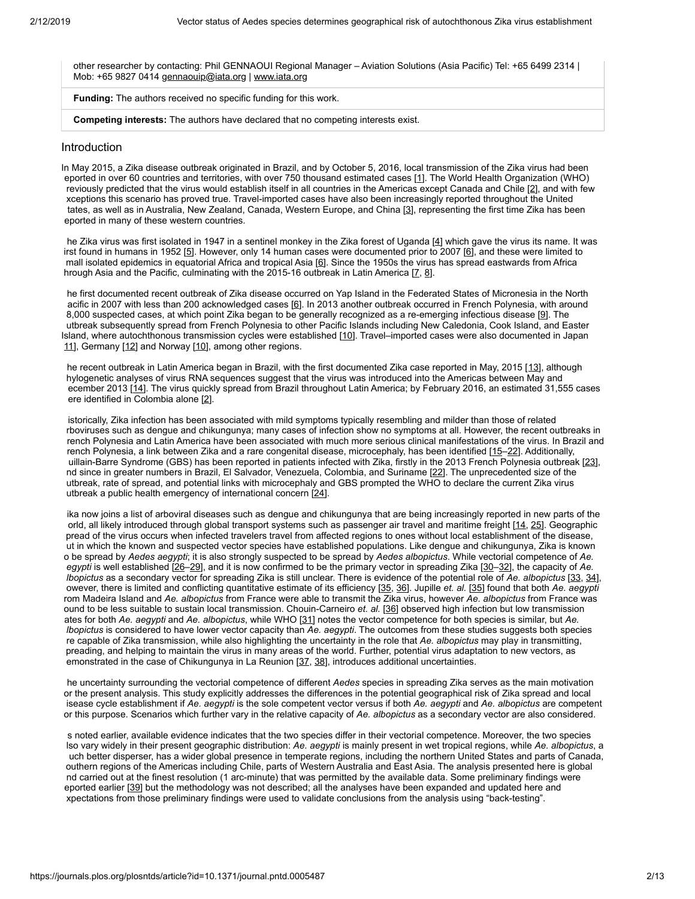other researcher by contacting: Phil GENNAOUI Regional Manager – Aviation Solutions (Asia Pacific) Tel: +65 6499 2314 | Mob: +65 9827 0414 [gennaouip@iata.org](mailto:gennaouip@iata.org) | [www.iata.org](http://www.iata.org/)

**Funding:** The authors received no specific funding for this work.

**Competing interests:** The authors have declared that no competing interests exist.

# Introduction

In May 2015, a Zika disease outbreak originated in Brazil, and by October 5, 2016, local transmission of the Zika virus had been eported in over 60 countries and territories, with over 750 thousand estimated cases [\[1\]](#page-7-0). The World Health Organization (WHO) reviously predicted that the virus would establish itself in all countries in the Americas except Canada and Chile [[2\]](#page-8-0), and with few xceptions this scenario has proved true. Travel-imported cases have also been increasingly reported throughout the United tates, as well as in Australia, New Zealand, Canada, Western Europe, and China [\[3](#page-8-1)], representing the first time Zika has been eported in many of these western countries.

he Zika virus was first isolated in 1947 in a sentinel monkey in the Zika forest of Uganda [\[4\]](#page-8-2) which gave the virus its name. It was irst found in humans in 1952 [\[5\]](#page-8-3). However, only 14 human cases were documented prior to 2007 [[6\]](#page-8-4), and these were limited to mall isolated epidemics in equatorial Africa and tropical Asia [\[6\]](#page-8-4). Since the 1950s the virus has spread eastwards from Africa hrough Asia and the Pacific, culminating with the 2015-16 outbreak in Latin America [\[7,](#page-8-5) [8\]](#page-8-6).

he first documented recent outbreak of Zika disease occurred on Yap Island in the Federated States of Micronesia in the North acific in 2007 with less than 200 acknowledged cases [[6](#page-8-4)]. In 2013 another outbreak occurred in French Polynesia, with around 8,000 suspected cases, at which point Zika began to be generally recognized as a re-emerging infectious disease [[9\]](#page-8-7). The utbreak subsequently spread from French Polynesia to other Pacific Islands including New Caledonia, Cook Island, and Easter Island, where autochthonous transmission cycles were established [\[10\]](#page-8-8). Travel–imported cases were also documented in Japan [11\]](#page-8-9), Germany [\[12](#page-8-10)] and Norway [\[10\]](#page-8-8), among other regions.

he recent outbreak in Latin America began in Brazil, with the first documented Zika case reported in May, 2015 [\[13\]](#page-8-11), although hylogenetic analyses of virus RNA sequences suggest that the virus was introduced into the Americas between May and ecember 2013 [\[14\]](#page-8-12). The virus quickly spread from Brazil throughout Latin America; by February 2016, an estimated 31,555 cases ere identified in Colombia alone [[2](#page-8-0)].

istorically, Zika infection has been associated with mild symptoms typically resembling and milder than those of related rboviruses such as dengue and chikungunya; many cases of infection show no symptoms at all. However, the recent outbreaks in rench Polynesia and Latin America have been associated with much more serious clinical manifestations of the virus. In Brazil and rench Polynesia, a link between Zika and a rare congenital disease, microcephaly, has been identified [15-[22](#page-9-0)]. Additionally, uillain-Barre Syndrome (GBS) has been reported in patients infected with Zika, firstly in the 2013 French Polynesia outbreak [\[23\]](#page-9-1), nd since in greater numbers in Brazil, El Salvador, Venezuela, Colombia, and Suriname [[22](#page-9-0)]. The unprecedented size of the utbreak, rate of spread, and potential links with microcephaly and GBS prompted the WHO to declare the current Zika virus utbreak a public health emergency of international concern [[24\]](#page-9-2).

ika now joins a list of arboviral diseases such as dengue and chikungunya that are being increasingly reported in new parts of the orld, all likely introduced through global transport systems such as passenger air travel and maritime freight [[14](#page-8-12), [25](#page-9-3)]. Geographic pread of the virus occurs when infected travelers travel from affected regions to ones without local establishment of the disease, ut in which the known and suspected vector species have established populations. Like dengue and chikungunya, Zika is known o be spread by *Aedes aegypti*; it is also strongly suspected to be spread by *Aedes albopictus*. While vectorial competence of *Ae. egypti* is well established [[26–](#page-9-4)[29](#page-9-5)], and it is now confirmed to be the primary vector in spreading Zika [[30–](#page-9-6)[32\]](#page-9-7), the capacity of *Ae. lbopictus* as a secondary vector for spreading Zika is still unclear. There is evidence of the potential role of *Ae. albopictus* [\[33,](#page-9-8) [34\]](#page-10-0), owever, there is limited and conflicting quantitative estimate of its efficiency [[35,](#page-10-1) [36](#page-10-2)]. Jupille *et. al.* [[35\]](#page-10-1) found that both *Ae. aegypti* rom Madeira Island and *Ae. albopictus* from France were able to transmit the Zika virus, however *Ae. albopictus* from France was ound to be less suitable to sustain local transmission. Chouin-Carneiro *et. al.* [[36](#page-10-2)] observed high infection but low transmission ates for both *Ae. aegypti* and *Ae. albopictus*, while WHO [\[31](#page-9-9)] notes the vector competence for both species is similar, but *Ae. lbopictus* is considered to have lower vector capacity than *Ae. aegypti*. The outcomes from these studies suggests both species re capable of Zika transmission, while also highlighting the uncertainty in the role that *Ae. albopictus* may play in transmitting, preading, and helping to maintain the virus in many areas of the world. Further, potential virus adaptation to new vectors, as emonstrated in the case of Chikungunya in La Reunion [\[37,](#page-10-3) [38](#page-10-4)], introduces additional uncertainties.

he uncertainty surrounding the vectorial competence of different *Aedes* species in spreading Zika serves as the main motivation or the present analysis. This study explicitly addresses the differences in the potential geographical risk of Zika spread and local isease cycle establishment if *Ae. aegypti* is the sole competent vector versus if both *Ae. aegypti* and *Ae. albopictus* are competent or this purpose. Scenarios which further vary in the relative capacity of *Ae. albopictus* as a secondary vector are also considered.

s noted earlier, available evidence indicates that the two species differ in their vectorial competence. Moreover, the two species lso vary widely in their present geographic distribution: *Ae. aegypti* is mainly present in wet tropical regions, while *Ae. albopictus*, a uch better disperser, has a wider global presence in temperate regions, including the northern United States and parts of Canada, outhern regions of the Americas including Chile, parts of Western Australia and East Asia. The analysis presented here is global nd carried out at the finest resolution (1 arc-minute) that was permitted by the available data. Some preliminary findings were eported earlier [\[39](#page-10-5)] but the methodology was not described; all the analyses have been expanded and updated here and xpectations from those preliminary findings were used to validate conclusions from the analysis using "back-testing".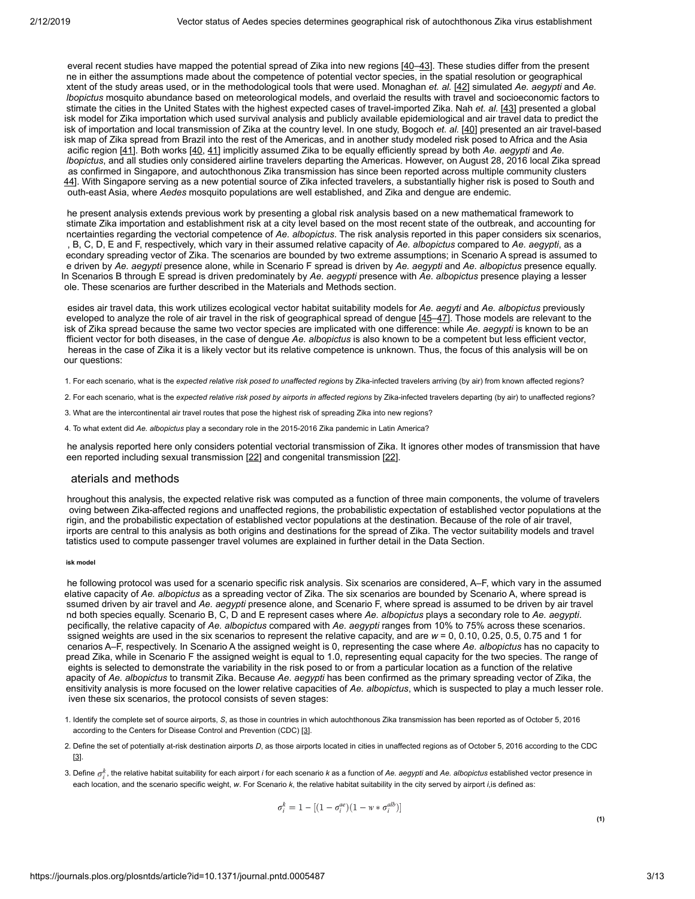everal recent studies have mapped the potential spread of Zika into new regions [[40](#page-10-6)–[43\]](#page-10-7). These studies differ from the present ne in either the assumptions made about the competence of potential vector species, in the spatial resolution or geographical xtent of the study areas used, or in the methodological tools that were used. Monaghan *et. al.* [[42\]](#page-10-8) simulated *Ae. aegypti* and *Ae. lbopictus* mosquito abundance based on meteorological models, and overlaid the results with travel and socioeconomic factors to stimate the cities in the United States with the highest expected cases of travel-imported Zika. Nah *et. al.* [[43\]](#page-10-7) presented a global isk model for Zika importation which used survival analysis and publicly available epidemiological and air travel data to predict the isk of importation and local transmission of Zika at the country level. In one study, Bogoch *et. al.* [\[40\]](#page-10-6) presented an air travel-based isk map of Zika spread from Brazil into the rest of the Americas, and in another study modeled risk posed to Africa and the Asia acific region [[41](#page-10-9)]. Both works [\[40](#page-10-6), [41](#page-10-9)] implicitly assumed Zika to be equally efficiently spread by both *Ae. aegypti* and *Ae. lbopictus*, and all studies only considered airline travelers departing the Americas. However, on August 28, 2016 local Zika spread as confirmed in Singapore, and autochthonous Zika transmission has since been reported across multiple community clusters [44](#page-10-10)]. With Singapore serving as a new potential source of Zika infected travelers, a substantially higher risk is posed to South and outh-east Asia, where *Aedes* mosquito populations are well established, and Zika and dengue are endemic.

he present analysis extends previous work by presenting a global risk analysis based on a new mathematical framework to stimate Zika importation and establishment risk at a city level based on the most recent state of the outbreak, and accounting for ncertainties regarding the vectorial competence of *Ae. albopictus*. The risk analysis reported in this paper considers six scenarios, , B, C, D, E and F, respectively, which vary in their assumed relative capacity of *Ae. albopictus* compared to *Ae. aegypti*, as a econdary spreading vector of Zika. The scenarios are bounded by two extreme assumptions; in Scenario A spread is assumed to e driven by *Ae. aegypti* presence alone, while in Scenario F spread is driven by *Ae. aegypti* and *Ae. albopictus* presence equally. In Scenarios B through E spread is driven predominately by *Ae. aegypti* presence with *Ae. albopictus* presence playing a lesser ole. These scenarios are further described in the Materials and Methods section.

esides air travel data, this work utilizes ecological vector habitat suitability models for *Ae. aegyti* and *Ae. albopictus* previously eveloped to analyze the role of air travel in the risk of geographical spread of dengue [45-[47](#page-10-12)]. Those models are relevant to the isk of Zika spread because the same two vector species are implicated with one difference: while *Ae. aegypti* is known to be an fficient vector for both diseases, in the case of dengue *Ae. albopictus* is also known to be a competent but less efficient vector, hereas in the case of Zika it is a likely vector but its relative competence is unknown. Thus, the focus of this analysis will be on our questions:

- 1. For each scenario, what is the *expected relative risk posed to unaffected regions* by Zika-infected travelers arriving (by air) from known affected regions?
- 2. For each scenario, what is the *expected relative risk posed by airports in affected regions* by Zika-infected travelers departing (by air) to unaffected regions?
- 3. What are the intercontinental air travel routes that pose the highest risk of spreading Zika into new regions?
- 4. To what extent did *Ae. albopictus* play a secondary role in the 2015-2016 Zika pandemic in Latin America?

he analysis reported here only considers potential vectorial transmission of Zika. It ignores other modes of transmission that have een reported including sexual transmission [\[22](#page-9-0)] and congenital transmission [\[22\]](#page-9-0).

# aterials and methods

hroughout this analysis, the expected relative risk was computed as a function of three main components, the volume of travelers oving between Zika-affected regions and unaffected regions, the probabilistic expectation of established vector populations at the rigin, and the probabilistic expectation of established vector populations at the destination. Because of the role of air travel, irports are central to this analysis as both origins and destinations for the spread of Zika. The vector suitability models and travel tatistics used to compute passenger travel volumes are explained in further detail in the Data Section.

#### **isk model**

he following protocol was used for a scenario specific risk analysis. Six scenarios are considered, A–F, which vary in the assumed elative capacity of *Ae. albopictus* as a spreading vector of Zika. The six scenarios are bounded by Scenario A, where spread is ssumed driven by air travel and *Ae. aegypti* presence alone, and Scenario F, where spread is assumed to be driven by air travel nd both species equally. Scenario B, C, D and E represent cases where *Ae. albopictus* plays a secondary role to *Ae. aegypti*. pecifically, the relative capacity of *Ae. albopictus* compared with *Ae. aegypti* ranges from 10% to 75% across these scenarios. ssigned weights are used in the six scenarios to represent the relative capacity, and are *w* = 0, 0.10, 0.25, 0.5, 0.75 and 1 for cenarios A–F, respectively. In Scenario A the assigned weight is 0, representing the case where *Ae. albopictus* has no capacity to pread Zika, while in Scenario F the assigned weight is equal to 1.0, representing equal capacity for the two species. The range of eights is selected to demonstrate the variability in the risk posed to or from a particular location as a function of the relative apacity of *Ae. albopictus* to transmit Zika. Because *Ae. aegypti* has been confirmed as the primary spreading vector of Zika, the ensitivity analysis is more focused on the lower relative capacities of *Ae. albopictus*, which is suspected to play a much lesser role. iven these six scenarios, the protocol consists of seven stages:

- 1. Identify the complete set of source airports, *S*, as those in countries in which autochthonous Zika transmission has been reported as of October 5, 2016 according to the Centers for Disease Control and Prevention (CDC) [\[3](#page-8-1)].
- 2. Define the set of potentially at-risk destination airports *D*, as those airports located in cities in unaffected regions as of October 5, 2016 according to the CDC [\[3\]](#page-8-1).
- <span id="page-2-0"></span>3. Define , the relative habitat suitability for each airport *i* for each scenario *k* as a function of *Ae. aegypti* and *Ae. albopictus* established vector presence in each location, and the scenario specific weight, *w*. For Scenario *k*, the relative habitat suitability in the city served by airport *i*,is defined as:

$$
\sigma_i^k = 1 - [(1 - \sigma_i^{ae})(1 - w * \sigma_i^{alb})]
$$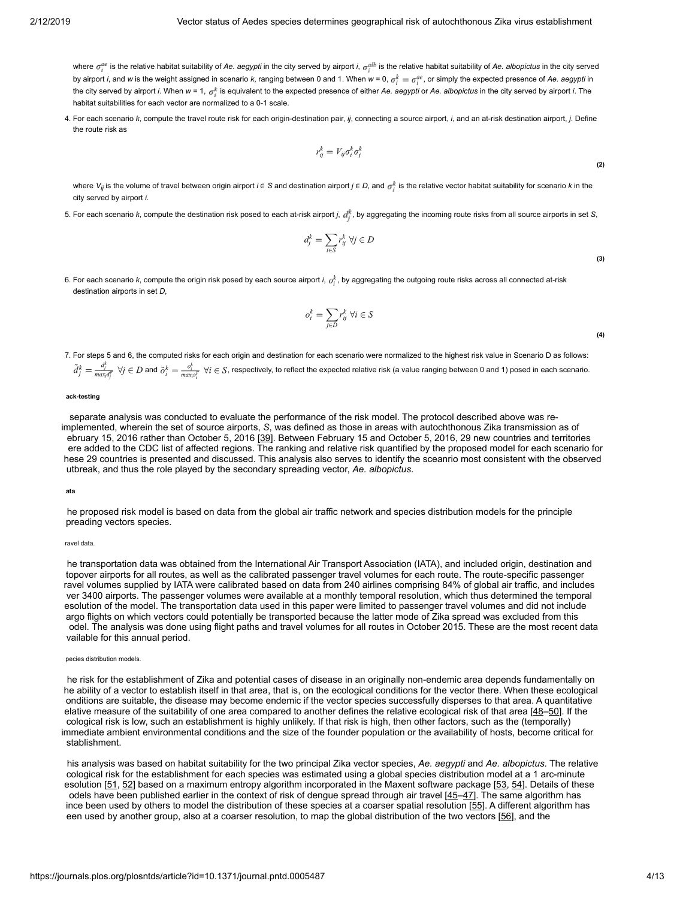where  $\sigma_i^{ae}$  is the relative habitat suitability of Ae. aegypti in the city served by airport *i*,  $\sigma_i^{alb}$  is the relative habitat suitability of Ae. albopictus in the city served by airport *i*, and *w* is the weight assigned in scenario *k*, ranging between 0 and 1. When  $w = 0$ ,  $\sigma_i^k = \sigma_i^{ae}$ , or simply the expected presence of Ae. aegypti in the city served by airport *i*. When  $w = 1$ ,  $\sigma_i^k$  is equivalent to the expected presence of either Ae. aegypti or Ae. albopictus in the city served by airport *i*. The habitat suitabilities for each vector are normalized to a 0-1 scale.

4. For each scenario *k*, compute the travel route risk for each origin-destination pair, *ij*, connecting a source airport, *i*, and an at-risk destination airport, *j*. Define the route risk as

$$
r_{ij}^k = V_{ij}\sigma_i^k \sigma_i^k
$$

where  $V_{ij}$  is the volume of travel between origin airport *i* ∈ S and destination airport *j* ∈ *D*, and  $\sigma_i^k$  is the relative vector habitat suitability for scenario *k* in the city served by airport *i*.

<span id="page-3-0"></span>5. For each scenario *k*, compute the destination risk posed to each at-risk airport *j*,  $d_i^k$ , by aggregating the incoming route risks from all source airports in set *S*,

$$
d_j^k = \sum_{i \in S} r_{ij}^k \ \forall j \in D
$$

**(2)**

**(3)**

**(4)**

6. For each scenario k, compute the origin risk posed by each source airport *i*,  $o_i^k$ , by aggregating the outgoing route risks across all connected at-risk destination airports in set *D*,

$$
o_i^k = \sum_{j \in D} r_{ij}^k \ \forall i \in S
$$

7. For steps 5 and 6, the computed risks for each origin and destination for each scenario were normalized to the highest risk value in Scenario D as follows:  $\tilde{d}_j^k = \frac{d_j^k}{max_d^k}$   $\forall j \in D$  and  $\tilde{o}_i^k = \frac{o_i^k}{max_o\tilde{c}}$   $\forall i \in S$ , respectively, to reflect the expected relative risk (a value ranging between 0 and 1) posed in each scenario.

## **ack-testing**

 separate analysis was conducted to evaluate the performance of the risk model. The protocol described above was reimplemented, wherein the set of source airports, *S*, was defined as those in areas with autochthonous Zika transmission as of ebruary 15, 2016 rather than October 5, 2016 [\[39](#page-10-5)]. Between February 15 and October 5, 2016, 29 new countries and territories ere added to the CDC list of affected regions. The ranking and relative risk quantified by the proposed model for each scenario for hese 29 countries is presented and discussed. This analysis also serves to identify the sceanrio most consistent with the observed utbreak, and thus the role played by the secondary spreading vector, *Ae. albopictus*.

**ata**

he proposed risk model is based on data from the global air traffic network and species distribution models for the principle preading vectors species.

## ravel data.

he transportation data was obtained from the International Air Transport Association (IATA), and included origin, destination and topover airports for all routes, as well as the calibrated passenger travel volumes for each route. The route-specific passenger ravel volumes supplied by IATA were calibrated based on data from 240 airlines comprising 84% of global air traffic, and includes ver 3400 airports. The passenger volumes were available at a monthly temporal resolution, which thus determined the temporal esolution of the model. The transportation data used in this paper were limited to passenger travel volumes and did not include argo flights on which vectors could potentially be transported because the latter mode of Zika spread was excluded from this odel. The analysis was done using flight paths and travel volumes for all routes in October 2015. These are the most recent data vailable for this annual period.

#### pecies distribution models.

he risk for the establishment of Zika and potential cases of disease in an originally non-endemic area depends fundamentally on he ability of a vector to establish itself in that area, that is, on the ecological conditions for the vector there. When these ecological onditions are suitable, the disease may become endemic if the vector species successfully disperses to that area. A quantitative elative measure of the suitability of one area compared to another defines the relative ecological risk of that area [[48](#page-10-13)[–50\]](#page-11-0). If the cological risk is low, such an establishment is highly unlikely. If that risk is high, then other factors, such as the (temporally) immediate ambient environmental conditions and the size of the founder population or the availability of hosts, become critical for stablishment.

his analysis was based on habitat suitability for the two principal Zika vector species, *Ae. aegypti* and *Ae. albopictus*. The relative cological risk for the establishment for each species was estimated using a global species distribution model at a 1 arc-minute esolution [\[51](#page-11-1), [52](#page-11-2)] based on a maximum entropy algorithm incorporated in the Maxent software package [\[53](#page-11-3), [54](#page-11-4)]. Details of these odels have been published earlier in the context of risk of dengue spread through air travel [\[45–](#page-10-11)[47](#page-10-12)]. The same algorithm has ince been used by others to model the distribution of these species at a coarser spatial resolution [[55\]](#page-11-5). A different algorithm has een used by another group, also at a coarser resolution, to map the global distribution of the two vectors [\[56\]](#page-11-6), and the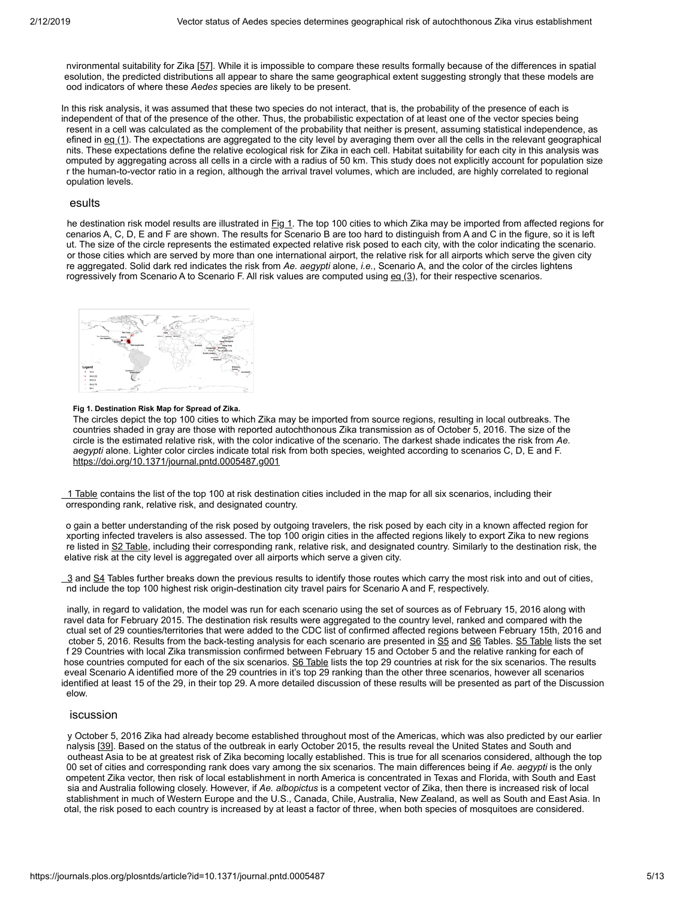nvironmental suitability for Zika [\[57](#page-11-7)]. While it is impossible to compare these results formally because of the differences in spatial esolution, the predicted distributions all appear to share the same geographical extent suggesting strongly that these models are ood indicators of where these *Aedes* species are likely to be present.

In this risk analysis, it was assumed that these two species do not interact, that is, the probability of the presence of each is independent of that of the presence of the other. Thus, the probabilistic expectation of at least one of the vector species being resent in a cell was calculated as the complement of the probability that neither is present, assuming statistical independence, as efined in  $eq(1)$ . The expectations are aggregated to the city level by averaging them over all the cells in the relevant geographical nits. These expectations define the relative ecological risk for Zika in each cell. Habitat suitability for each city in this analysis was omputed by aggregating across all cells in a circle with a radius of 50 km. This study does not explicitly account for population size r the human-to-vector ratio in a region, although the arrival travel volumes, which are included, are highly correlated to regional opulation levels.

## esults

he destination risk model results are illustrated in [Fig 1.](#page-4-0) The top 100 cities to which Zika may be imported from affected regions for cenarios A, C, D, E and F are shown. The results for Scenario B are too hard to distinguish from A and C in the figure, so it is left ut. The size of the circle represents the estimated expected relative risk posed to each city, with the color indicating the scenario. or those cities which are served by more than one international airport, the relative risk for all airports which serve the given city re aggregated. Solid dark red indicates the risk from *Ae. aegypti* alone, *i.e.*, Scenario A, and the color of the circles lightens rogressively from Scenario A to Scenario F. All risk values are computed using  $eg(3)$ , for their respective scenarios.

<span id="page-4-0"></span>

### **Fig 1. Destination Risk Map for Spread of Zika.**

The circles depict the top 100 cities to which Zika may be imported from source regions, resulting in local outbreaks. The countries shaded in gray are those with reported autochthonous Zika transmission as of October 5, 2016. The size of the circle is the estimated relative risk, with the color indicative of the scenario. The darkest shade indicates the risk from *Ae. aegypti* alone. Lighter color circles indicate total risk from both species, weighted according to scenarios C, D, E and F. <https://doi.org/10.1371/journal.pntd.0005487.g001>

[1 Table](#page-7-1) contains the list of the top 100 at risk destination cities included in the map for all six scenarios, including their orresponding rank, relative risk, and designated country.

o gain a better understanding of the risk posed by outgoing travelers, the risk posed by each city in a known affected region for xporting infected travelers is also assessed. The top 100 origin cities in the affected regions likely to export Zika to new regions re listed in [S2 Table,](#page-7-2) including their corresponding rank, relative risk, and designated country. Similarly to the destination risk, the elative risk at the city level is aggregated over all airports which serve a given city.

 $3$  and [S4](#page-7-4) Tables further breaks down the previous results to identify those routes which carry the most risk into and out of cities, nd include the top 100 highest risk origin-destination city travel pairs for Scenario A and F, respectively.

inally, in regard to validation, the model was run for each scenario using the set of sources as of February 15, 2016 along with ravel data for February 2015. The destination risk results were aggregated to the country level, ranked and compared with the ctual set of 29 counties/territories that were added to the CDC list of confirmed affected regions between February 15th, 2016 and ctober 5, 2016. Results from the back-testing analysis for each scenario are presented in [S5](#page-7-5) and [S6](#page-7-6) Tables. [S5 Table](#page-7-5) lists the set f 29 Countries with local Zika transmission confirmed between February 15 and October 5 and the relative ranking for each of hose countries computed for each of the six scenarios. [S6 Table](#page-7-6) lists the top 29 countries at risk for the six scenarios. The results eveal Scenario A identified more of the 29 countries in it's top 29 ranking than the other three scenarios, however all scenarios identified at least 15 of the 29, in their top 29. A more detailed discussion of these results will be presented as part of the Discussion elow.

# iscussion

y October 5, 2016 Zika had already become established throughout most of the Americas, which was also predicted by our earlier nalysis [\[39](#page-10-5)]. Based on the status of the outbreak in early October 2015, the results reveal the United States and South and outheast Asia to be at greatest risk of Zika becoming locally established. This is true for all scenarios considered, although the top 00 set of cities and corresponding rank does vary among the six scenarios. The main differences being if *Ae. aegypti* is the only ompetent Zika vector, then risk of local establishment in north America is concentrated in Texas and Florida, with South and East sia and Australia following closely. However, if *Ae. albopictus* is a competent vector of Zika, then there is increased risk of local stablishment in much of Western Europe and the U.S., Canada, Chile, Australia, New Zealand, as well as South and East Asia. In otal, the risk posed to each country is increased by at least a factor of three, when both species of mosquitoes are considered.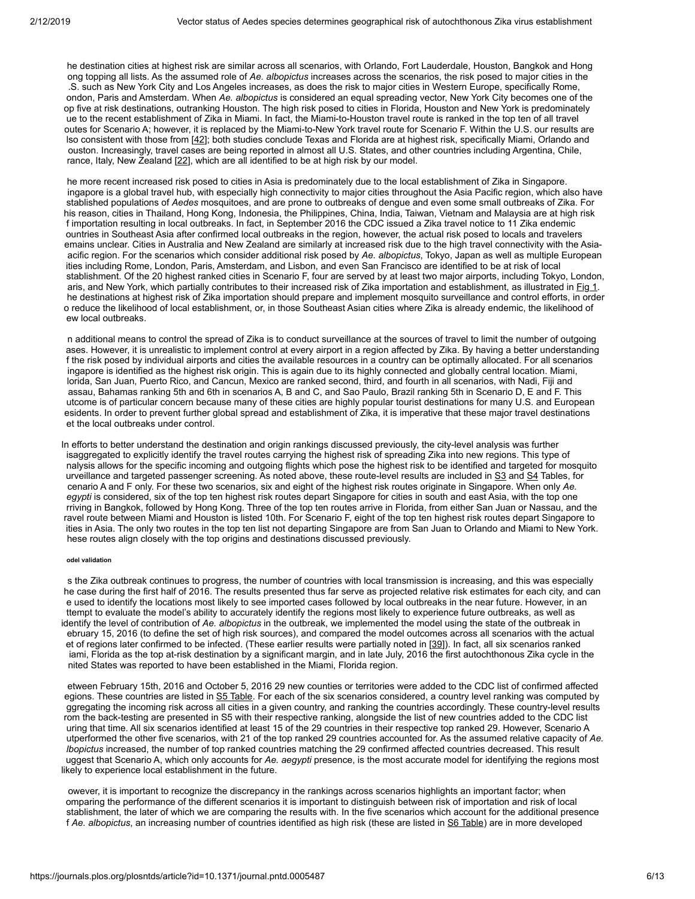he destination cities at highest risk are similar across all scenarios, with Orlando, Fort Lauderdale, Houston, Bangkok and Hong ong topping all lists. As the assumed role of *Ae. albopictus* increases across the scenarios, the risk posed to major cities in the .S. such as New York City and Los Angeles increases, as does the risk to major cities in Western Europe, specifically Rome, ondon, Paris and Amsterdam. When *Ae. albopictus* is considered an equal spreading vector, New York City becomes one of the op five at risk destinations, outranking Houston. The high risk posed to cities in Florida, Houston and New York is predominately ue to the recent establishment of Zika in Miami. In fact, the Miami-to-Houston travel route is ranked in the top ten of all travel outes for Scenario A; however, it is replaced by the Miami-to-New York travel route for Scenario F. Within the U.S. our results are lso consistent with those from [[42](#page-10-8)]; both studies conclude Texas and Florida are at highest risk, specifically Miami, Orlando and ouston. Increasingly, travel cases are being reported in almost all U.S. States, and other countries including Argentina, Chile, rance, Italy, New Zealand  $[22]$ , which are all identified to be at high risk by our model.

he more recent increased risk posed to cities in Asia is predominately due to the local establishment of Zika in Singapore. ingapore is a global travel hub, with especially high connectivity to major cities throughout the Asia Pacific region, which also have stablished populations of *Aedes* mosquitoes, and are prone to outbreaks of dengue and even some small outbreaks of Zika. For his reason, cities in Thailand, Hong Kong, Indonesia, the Philippines, China, India, Taiwan, Vietnam and Malaysia are at high risk f importation resulting in local outbreaks. In fact, in September 2016 the CDC issued a Zika travel notice to 11 Zika endemic ountries in Southeast Asia after confirmed local outbreaks in the region, however, the actual risk posed to locals and travelers emains unclear. Cities in Australia and New Zealand are similarly at increased risk due to the high travel connectivity with the Asiaacific region. For the scenarios which consider additional risk posed by *Ae. albopictus*, Tokyo, Japan as well as multiple European ities including Rome, London, Paris, Amsterdam, and Lisbon, and even San Francisco are identified to be at risk of local stablishment. Of the 20 highest ranked cities in Scenario F, four are served by at least two major airports, including Tokyo, London, aris, and New York, which partially contributes to their increased risk of Zika importation and establishment, as illustrated in **Fig 1**. he destinations at highest risk of Zika importation should prepare and implement mosquito surveillance and control efforts, in order o reduce the likelihood of local establishment, or, in those Southeast Asian cities where Zika is already endemic, the likelihood of ew local outbreaks.

n additional means to control the spread of Zika is to conduct surveillance at the sources of travel to limit the number of outgoing ases. However, it is unrealistic to implement control at every airport in a region affected by Zika. By having a better understanding f the risk posed by individual airports and cities the available resources in a country can be optimally allocated. For all scenarios ingapore is identified as the highest risk origin. This is again due to its highly connected and globally central location. Miami, lorida, San Juan, Puerto Rico, and Cancun, Mexico are ranked second, third, and fourth in all scenarios, with Nadi, Fiji and assau, Bahamas ranking 5th and 6th in scenarios A, B and C, and Sao Paulo, Brazil ranking 5th in Scenario D, E and F. This utcome is of particular concern because many of these cities are highly popular tourist destinations for many U.S. and European esidents. In order to prevent further global spread and establishment of Zika, it is imperative that these major travel destinations et the local outbreaks under control.

In efforts to better understand the destination and origin rankings discussed previously, the city-level analysis was further isaggregated to explicitly identify the travel routes carrying the highest risk of spreading Zika into new regions. This type of nalysis allows for the specific incoming and outgoing flights which pose the highest risk to be identified and targeted for mosquito urveillance and targeted passenger screening. As noted above, these route-level results are included in [S3](#page-7-3) and [S4](#page-7-4) Tables, for cenario A and F only. For these two scenarios, six and eight of the highest risk routes originate in Singapore. When only *Ae. egypti* is considered, six of the top ten highest risk routes depart Singapore for cities in south and east Asia, with the top one rriving in Bangkok, followed by Hong Kong. Three of the top ten routes arrive in Florida, from either San Juan or Nassau, and the ravel route between Miami and Houston is listed 10th. For Scenario F, eight of the top ten highest risk routes depart Singapore to ities in Asia. The only two routes in the top ten list not departing Singapore are from San Juan to Orlando and Miami to New York. hese routes align closely with the top origins and destinations discussed previously.

# **odel validation**

s the Zika outbreak continues to progress, the number of countries with local transmission is increasing, and this was especially he case during the first half of 2016. The results presented thus far serve as projected relative risk estimates for each city, and can e used to identify the locations most likely to see imported cases followed by local outbreaks in the near future. However, in an ttempt to evaluate the model's ability to accurately identify the regions most likely to experience future outbreaks, as well as identify the level of contribution of *Ae. albopictus* in the outbreak, we implemented the model using the state of the outbreak in ebruary 15, 2016 (to define the set of high risk sources), and compared the model outcomes across all scenarios with the actual et of regions later confirmed to be infected. (These earlier results were partially noted in [[39\]](#page-10-5)). In fact, all six scenarios ranked iami, Florida as the top at-risk destination by a significant margin, and in late July, 2016 the first autochthonous Zika cycle in the nited States was reported to have been established in the Miami, Florida region.

etween February 15th, 2016 and October 5, 2016 29 new counties or territories were added to the CDC list of confirmed affected egions. These countries are listed in [S5 Table.](#page-7-5) For each of the six scenarios considered, a country level ranking was computed by ggregating the incoming risk across all cities in a given country, and ranking the countries accordingly. These country-level results rom the back-testing are presented in S5 with their respective ranking, alongside the list of new countries added to the CDC list uring that time. All six scenarios identified at least 15 of the 29 countries in their respective top ranked 29. However, Scenario A utperformed the other five scenarios, with 21 of the top ranked 29 countries accounted for. As the assumed relative capacity of *Ae. lbopictus* increased, the number of top ranked countries matching the 29 confirmed affected countries decreased. This result uggest that Scenario A, which only accounts for *Ae. aegypti* presence, is the most accurate model for identifying the regions most likely to experience local establishment in the future.

owever, it is important to recognize the discrepancy in the rankings across scenarios highlights an important factor; when omparing the performance of the different scenarios it is important to distinguish between risk of importation and risk of local stablishment, the later of which we are comparing the results with. In the five scenarios which account for the additional presence f *Ae. albopictus*, an increasing number of countries identified as high risk (these are listed in [S6 Table](#page-7-6)) are in more developed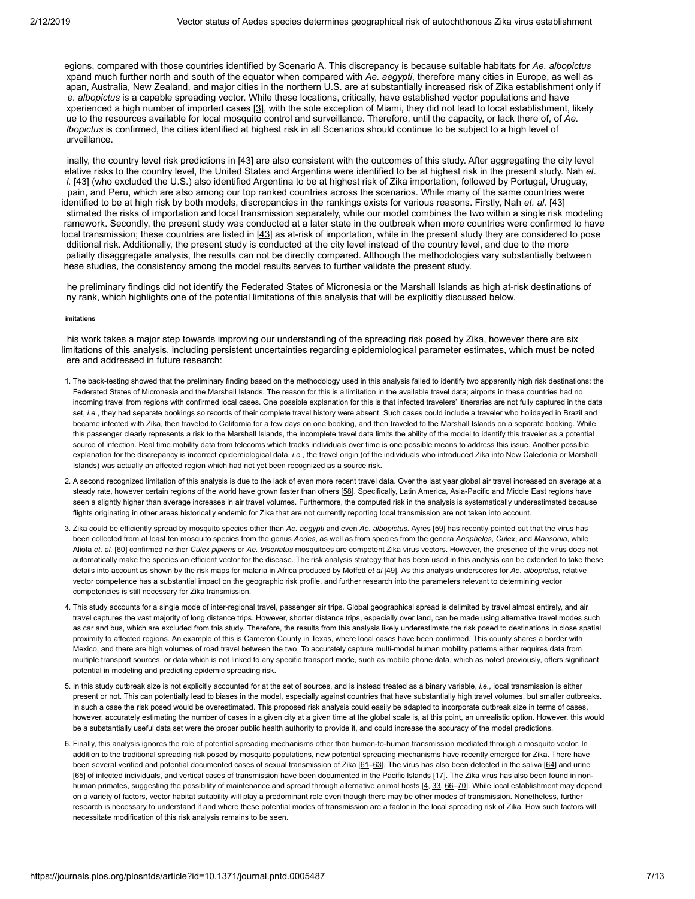egions, compared with those countries identified by Scenario A. This discrepancy is because suitable habitats for *Ae. albopictus* xpand much further north and south of the equator when compared with *Ae. aegypti*, therefore many cities in Europe, as well as apan, Australia, New Zealand, and major cities in the northern U.S. are at substantially increased risk of Zika establishment only if *e. albopictus* is a capable spreading vector. While these locations, critically, have established vector populations and have xperienced a high number of imported cases [[3](#page-8-1)], with the sole exception of Miami, they did not lead to local establishment, likely ue to the resources available for local mosquito control and surveillance. Therefore, until the capacity, or lack there of, of *Ae. lbopictus* is confirmed, the cities identified at highest risk in all Scenarios should continue to be subject to a high level of urveillance.

inally, the country level risk predictions in [[43](#page-10-7)] are also consistent with the outcomes of this study. After aggregating the city level elative risks to the country level, the United States and Argentina were identified to be at highest risk in the present study. Nah *et. l.* [\[43\]](#page-10-7) (who excluded the U.S.) also identified Argentina to be at highest risk of Zika importation, followed by Portugal, Uruguay, pain, and Peru, which are also among our top ranked countries across the scenarios. While many of the same countries were identified to be at high risk by both models, discrepancies in the rankings exists for various reasons. Firstly, Nah *et. al.* [[43\]](#page-10-7) stimated the risks of importation and local transmission separately, while our model combines the two within a single risk modeling ramework. Secondly, the present study was conducted at a later state in the outbreak when more countries were confirmed to have local transmission; these countries are listed in [[43\]](#page-10-7) as at-risk of importation, while in the present study they are considered to pose dditional risk. Additionally, the present study is conducted at the city level instead of the country level, and due to the more patially disaggregate analysis, the results can not be directly compared. Although the methodologies vary substantially between hese studies, the consistency among the model results serves to further validate the present study.

he preliminary findings did not identify the Federated States of Micronesia or the Marshall Islands as high at-risk destinations of ny rank, which highlights one of the potential limitations of this analysis that will be explicitly discussed below.

## **imitations**

his work takes a major step towards improving our understanding of the spreading risk posed by Zika, however there are six limitations of this analysis, including persistent uncertainties regarding epidemiological parameter estimates, which must be noted ere and addressed in future research:

- 1. The back-testing showed that the preliminary finding based on the methodology used in this analysis failed to identify two apparently high risk destinations: the Federated States of Micronesia and the Marshall Islands. The reason for this is a limitation in the available travel data; airports in these countries had no incoming travel from regions with confirmed local cases. One possible explanation for this is that infected travelers' itineraries are not fully captured in the data set, *i.e.*, they had separate bookings so records of their complete travel history were absent. Such cases could include a traveler who holidayed in Brazil and became infected with Zika, then traveled to California for a few days on one booking, and then traveled to the Marshall Islands on a separate booking. While this passenger clearly represents a risk to the Marshall Islands, the incomplete travel data limits the ability of the model to identify this traveler as a potential source of infection. Real time mobility data from telecoms which tracks individuals over time is one possible means to address this issue. Another possible explanation for the discrepancy is incorrect epidemiological data, *i.e.*, the travel origin (of the individuals who introduced Zika into New Caledonia or Marshall Islands) was actually an affected region which had not yet been recognized as a source risk.
- 2. A second recognized limitation of this analysis is due to the lack of even more recent travel data. Over the last year global air travel increased on average at a steady rate, however certain regions of the world have grown faster than others [\[58\]](#page-11-8). Specifically, Latin America, Asia-Pacific and Middle East regions have seen a slightly higher than average increases in air travel volumes. Furthermore, the computed risk in the analysis is systematically underestimated because flights originating in other areas historically endemic for Zika that are not currently reporting local transmission are not taken into account.
- 3. Zika could be efficiently spread by mosquito species other than *Ae. aegypti* and even *Ae. albopictus*. Ayres [\[59\]](#page-11-9) has recently pointed out that the virus has been collected from at least ten mosquito species from the genus *Aedes*, as well as from species from the genera *Anopheles*, *Culex*, and *Mansonia*, while Aliota *et. al.* [[60\]](#page-11-10) confirmed neither *Culex pipiens* or *Ae. triseriatus* mosquitoes are competent Zika virus vectors. However, the presence of the virus does not automatically make the species an efficient vector for the disease. The risk analysis strategy that has been used in this analysis can be extended to take these details into account as shown by the risk maps for malaria in Africa produced by Moffett *et al* [\[49](#page-11-11)]. As this analysis underscores for *Ae. albopictus*, relative vector competence has a substantial impact on the geographic risk profile, and further research into the parameters relevant to determining vector competencies is still necessary for Zika transmission.
- 4. This study accounts for a single mode of inter-regional travel, passenger air trips. Global geographical spread is delimited by travel almost entirely, and air travel captures the vast majority of long distance trips. However, shorter distance trips, especially over land, can be made using alternative travel modes such as car and bus, which are excluded from this study. Therefore, the results from this analysis likely underestimate the risk posed to destinations in close spatial proximity to affected regions. An example of this is Cameron County in Texas, where local cases have been confirmed. This county shares a border with Mexico, and there are high volumes of road travel between the two. To accurately capture multi-modal human mobility patterns either requires data from multiple transport sources, or data which is not linked to any specific transport mode, such as mobile phone data, which as noted previously, offers significant potential in modeling and predicting epidemic spreading risk.
- 5. In this study outbreak size is not explicitly accounted for at the set of sources, and is instead treated as a binary variable, *i.e.*, local transmission is either present or not. This can potentially lead to biases in the model, especially against countries that have substantially high travel volumes, but smaller outbreaks. In such a case the risk posed would be overestimated. This proposed risk analysis could easily be adapted to incorporate outbreak size in terms of cases, however, accurately estimating the number of cases in a given city at a given time at the global scale is, at this point, an unrealistic option. However, this would be a substantially useful data set were the proper public health authority to provide it, and could increase the accuracy of the model predictions.
- 6. Finally, this analysis ignores the role of potential spreading mechanisms other than human-to-human transmission mediated through a mosquito vector. In addition to the traditional spreading risk posed by mosquito populations, new potential spreading mechanisms have recently emerged for Zika. There have been several verified and potential documented cases of sexual transmission of Zika [[61](#page-11-12)-[63](#page-11-13)]. The virus has also been detected in the saliva [\[64\]](#page-11-14) and urine [\[65\]](#page-11-15) of infected individuals, and vertical cases of transmission have been documented in the Pacific Islands [[17\]](#page-9-10). The Zika virus has also been found in non-human primates, suggesting the possibility of maintenance and spread through alternative animal hosts [\[4](#page-8-2), [33](#page-9-8), 66-[70](#page-12-1)]. While local establishment may depend on a variety of factors, vector habitat suitability will play a predominant role even though there may be other modes of transmission. Nonetheless, further research is necessary to understand if and where these potential modes of transmission are a factor in the local spreading risk of Zika. How such factors will necessitate modification of this risk analysis remains to be seen.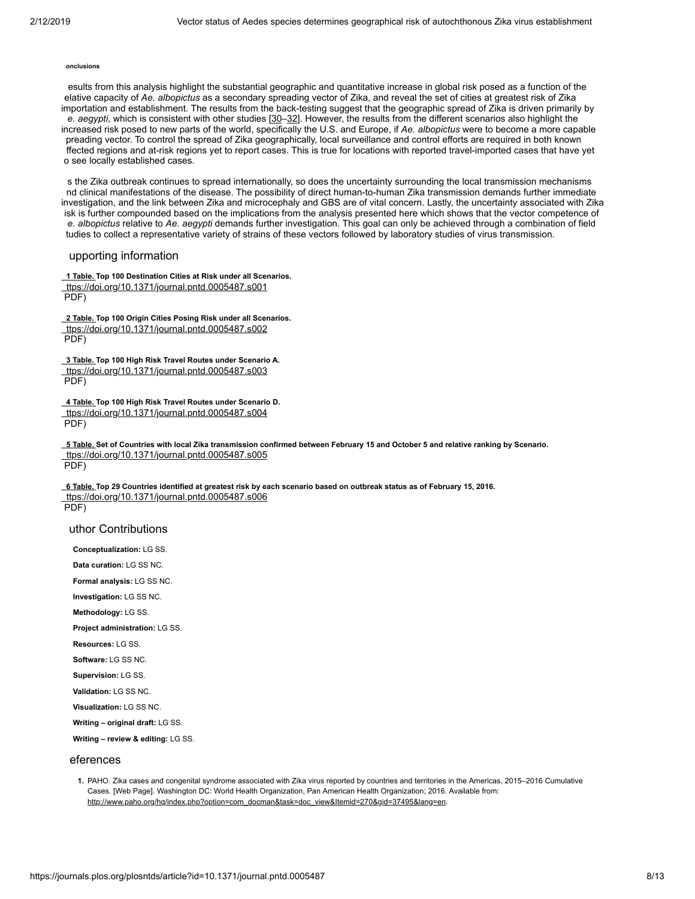#### **onclusions**

esults from this analysis highlight the substantial geographic and quantitative increase in global risk posed as a function of the elative capacity of *Ae. albopictus* as a secondary spreading vector of Zika, and reveal the set of cities at greatest risk of Zika importation and establishment. The results from the back-testing suggest that the geographic spread of Zika is driven primarily by *e. aegypti*, which is consistent with other studies [\[30](#page-9-6)–[32](#page-9-7)]. However, the results from the different scenarios also highlight the increased risk posed to new parts of the world, specifically the U.S. and Europe, if *Ae. albopictus* were to become a more capable preading vector. To control the spread of Zika geographically, local surveillance and control efforts are required in both known ffected regions and at-risk regions yet to report cases. This is true for locations with reported travel-imported cases that have yet o see locally established cases.

s the Zika outbreak continues to spread internationally, so does the uncertainty surrounding the local transmission mechanisms nd clinical manifestations of the disease. The possibility of direct human-to-human Zika transmission demands further immediate investigation, and the link between Zika and microcephaly and GBS are of vital concern. Lastly, the uncertainty associated with Zika isk is further compounded based on the implications from the analysis presented here which shows that the vector competence of *e. albopictus* relative to *Ae. aegypti* demands further investigation. This goal can only be achieved through a combination of field tudies to collect a representative variety of strains of these vectors followed by laboratory studies of virus transmission.

# upporting information

<span id="page-7-1"></span>**[1 Table. T](https://journals.plos.org/plosntds/article/file?type=supplementary&id=info:doi/10.1371/journal.pntd.0005487.s001)op 100 Destination Cities at Risk under all Scenarios.** [ttps://doi.org/10.1371/journal.pntd.0005487.s001](https://doi.org/10.1371/journal.pntd.0005487.s001) PDF)

<span id="page-7-2"></span>**[2 Table. T](https://journals.plos.org/plosntds/article/file?type=supplementary&id=info:doi/10.1371/journal.pntd.0005487.s002)op 100 Origin Cities Posing Risk under all Scenarios.** [ttps://doi.org/10.1371/journal.pntd.0005487.s002](https://doi.org/10.1371/journal.pntd.0005487.s002) PDF)

<span id="page-7-3"></span>**[3 Table. T](https://journals.plos.org/plosntds/article/file?type=supplementary&id=info:doi/10.1371/journal.pntd.0005487.s003)op 100 High Risk Travel Routes under Scenario A.** [ttps://doi.org/10.1371/journal.pntd.0005487.s003](https://doi.org/10.1371/journal.pntd.0005487.s003) PDF)

<span id="page-7-4"></span>**[4 Table. T](https://journals.plos.org/plosntds/article/file?type=supplementary&id=info:doi/10.1371/journal.pntd.0005487.s004)op 100 High Risk Travel Routes under Scenario D.** [ttps://doi.org/10.1371/journal.pntd.0005487.s004](https://doi.org/10.1371/journal.pntd.0005487.s004)  $PDF$ 

<span id="page-7-5"></span>**[5 Table. S](https://journals.plos.org/plosntds/article/file?type=supplementary&id=info:doi/10.1371/journal.pntd.0005487.s005)et of Countries with local Zika transmission confirmed between February 15 and October 5 and relative ranking by Scenario.** [ttps://doi.org/10.1371/journal.pntd.0005487.s005](https://doi.org/10.1371/journal.pntd.0005487.s005) PDF)

<span id="page-7-6"></span>**[6 Table. T](https://journals.plos.org/plosntds/article/file?type=supplementary&id=info:doi/10.1371/journal.pntd.0005487.s006)op 29 Countries identified at greatest risk by each scenario based on outbreak status as of February 15, 2016.** [ttps://doi.org/10.1371/journal.pntd.0005487.s006](https://doi.org/10.1371/journal.pntd.0005487.s006) PDF)

## uthor Contributions

**Conceptualization:** LG SS.

**Data curation:** LG SS NC.

**Formal analysis:** LG SS NC.

**Investigation:** LG SS NC.

**Methodology:** LG SS.

**Project administration:** LG SS.

**Resources:** LG SS.

**Software:** LG SS NC.

**Supervision:** LG SS.

**Validation:** LG SS NC.

**Visualization:** LG SS NC.

**Writing – original draft:** LG SS.

**Writing – review & editing:** LG SS.

# eferences

<span id="page-7-0"></span>**1.** PAHO. Zika cases and congenital syndrome associated with Zika virus reported by countries and territories in the Americas, 2015–2016 Cumulative Cases. [Web Page]. Washington DC: World Health Organization, Pan American Health Organization; 2016. Available from: http://www.paho.org/hg/index.php?option=com\_docman&task=doc\_view&Itemid=270&gid=37495&lang=en.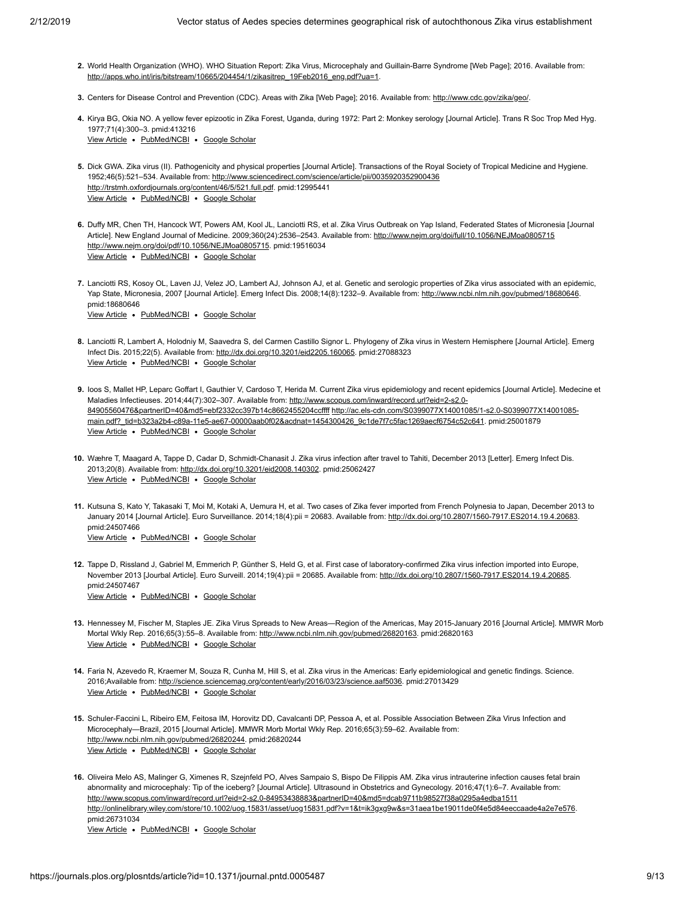- <span id="page-8-0"></span>**2.** World Health Organization (WHO). WHO Situation Report: Zika Virus, Microcephaly and Guillain-Barre Syndrome [Web Page]; 2016. Available from: [http://apps.who.int/iris/bitstream/10665/204454/1/zikasitrep\\_19Feb2016\\_eng.pdf?ua=1.](http://apps.who.int/iris/bitstream/10665/204454/1/zikasitrep_19Feb2016_eng.pdf?ua=1)
- <span id="page-8-1"></span>**3.** Centers for Disease Control and Prevention (CDC). Areas with Zika [Web Page]; 2016. Available from: [http://www.cdc.gov/zika/geo/.](http://www.cdc.gov/zika/geo/)
- <span id="page-8-2"></span>**4.** Kirya BG, Okia NO. A yellow fever epizootic in Zika Forest, Uganda, during 1972: Part 2: Monkey serology [Journal Article]. Trans R Soc Trop Med Hyg. [View Article](https://doi.org/10.1016/0035-9203(77)90104-3) . [PubMed/NCBI](http://www.ncbi.nlm.nih.gov/pubmed/413216) . [Google Scholar](http://scholar.google.com/scholar?q=A+yellow+fever+epizootic+in+Zika+Forest%2C+Uganda%2C+during+1972%3A+Part+2%3A+Monkey+serology+Kirya+1977) 1977;71(4):300–3. pmid:413216
- <span id="page-8-3"></span>**5.** Dick GWA. Zika virus (II). Pathogenicity and physical properties [Journal Article]. Transactions of the Royal Society of Tropical Medicine and Hygiene. View Article . [PubMed/NCBI](http://www.ncbi.nlm.nih.gov/pubmed/12995441) . [Google Scholar](http://scholar.google.com/scholar?q=Zika+virus+%28II%29.+Pathogenicity+and+physical+properties+Dick+1952) 1952;46(5):521–534. Available from:<http://www.sciencedirect.com/science/article/pii/0035920352900436> <http://trstmh.oxfordjournals.org/content/46/5/521.full.pdf>. pmid:12995441
- <span id="page-8-4"></span>**6.** Duffy MR, Chen TH, Hancock WT, Powers AM, Kool JL, Lanciotti RS, et al. Zika Virus Outbreak on Yap Island, Federated States of Micronesia [Journal View Article . [PubMed/NCBI](http://www.ncbi.nlm.nih.gov/pubmed/19516034) . [Google Scholar](http://scholar.google.com/scholar?q=Zika+Virus+Outbreak+on+Yap+Island%2C+Federated+States+of+Micronesia+Duffy+2009) Article]. New England Journal of Medicine. 2009;360(24):2536-2543. Available from:<http://www.nejm.org/doi/full/10.1056/NEJMoa0805715> <http://www.nejm.org/doi/pdf/10.1056/NEJMoa0805715>. pmid:19516034
- <span id="page-8-5"></span>**7.** Lanciotti RS, Kosoy OL, Laven JJ, Velez JO, Lambert AJ, Johnson AJ, et al. Genetic and serologic properties of Zika virus associated with an epidemic, View Article . [PubMed/NCBI](http://www.ncbi.nlm.nih.gov/pubmed/18680646) . [Google Scholar](http://scholar.google.com/scholar?q=Genetic+and+serologic+properties+of+Zika+virus+associated+with+an+epidemic%2C+Yap+State%2C+Micronesia%2C+2007+Lanciotti+2008) Yap State, Micronesia, 2007 [Journal Article]. Emerg Infect Dis. 2008;14(8):1232-9. Available from: <http://www.ncbi.nlm.nih.gov/pubmed/18680646>. pmid:18680646
- <span id="page-8-6"></span>**8.** Lanciotti R, Lambert A, Holodniy M, Saavedra S, del Carmen Castillo Signor L. Phylogeny of Zika virus in Western Hemisphere [Journal Article]. Emerg View Article . [PubMed/NCBI](http://www.ncbi.nlm.nih.gov/pubmed/27088323) . [Google Scholar](http://scholar.google.com/scholar?q=Phylogeny+of+Zika+virus+in+Western+Hemisphere+Lanciotti+2015) Infect Dis. 2015;22(5). Available from: [http://dx.doi.org/10.3201/eid2205.160065.](http://dx.doi.org/10.3201/eid2205.160065) pmid:27088323
- <span id="page-8-7"></span>**9.** Ioos S, Mallet HP, Leparc Goffart I, Gauthier V, Cardoso T, Herida M. Current Zika virus epidemiology and recent epidemics [Journal Article]. Medecine et View Article . [PubMed/NCBI](http://www.ncbi.nlm.nih.gov/pubmed/25001879) . [Google Scholar](http://scholar.google.com/scholar?q=Current+Zika+virus+epidemiology+and+recent+epidemics+Ioos+2014) Maladies Infectieuses. 2014;44(7):302-307. Available from: http://www.scopus.com/inward/record.url?eid=2-s2.0-84905560476&partnerID=40&md5=ebf2332cc397b14c8662455204ccffff http://ac.els-cdn.com/S0399077X14001085/1-s2.0-S0399077X14001085 [main.pdf?\\_tid=b323a2b4-c89a-11e5-ae67-00000aab0f02&acdnat=1454300426\\_9c1de7f7c5fac1269aecf6754c52c641. pmid:25001879](http://ac.els-cdn.com/S0399077X14001085/1-s2.0-S0399077X14001085-main.pdf?_tid=b323a2b4-c89a-11e5-ae67-00000aab0f02&acdnat=1454300426_9c1de7f7c5fac1269aecf6754c52c641)
- <span id="page-8-8"></span>**10.** Wæhre T, Maagard A, Tappe D, Cadar D, Schmidt-Chanasit J. Zika virus infection after travel to Tahiti, December 2013 [Letter]. Emerg Infect Dis. View Article . [PubMed/NCBI](http://www.ncbi.nlm.nih.gov/pubmed/25062427) . [Google Scholar](http://scholar.google.com/scholar?q=Zika+virus+infection+after+travel+to+Tahiti%2C+December+2013+W%C3%A6hre+2013) 2013;20(8). Available from:<http://dx.doi.org/10.3201/eid2008.140302>. pmid:25062427
- <span id="page-8-9"></span>**11.** Kutsuna S, Kato Y, Takasaki T, Moi M, Kotaki A, Uemura H, et al. Two cases of Zika fever imported from French Polynesia to Japan, December 2013 to View Article . [PubMed/NCBI](http://www.ncbi.nlm.nih.gov/pubmed/24507466) . [Google Scholar](http://scholar.google.com/scholar?q=Two+cases+of+Zika+fever+imported+from+French+Polynesia+to+Japan%2C+December+2013+to+January+2014+Kutsuna+2014) January 2014 [Journal Article]. Euro Surveillance. 2014;18(4):pii = 20683. Available from:<http://dx.doi.org/10.2807/1560-7917.ES2014.19.4.20683>. pmid:24507466
- <span id="page-8-10"></span>**12.** Tappe D, Rissland J, Gabriel M, Emmerich P, Günther S, Held G, et al. First case of laboratory-confirmed Zika virus infection imported into Europe, View Article . [PubMed/NCBI](http://www.ncbi.nlm.nih.gov/pubmed/24507467) . [Google Scholar](http://scholar.google.com/scholar?q=First+case+of+laboratory-confirmed+Zika+virus+infection+imported+into+Europe%2C+November+2013+Tappe+2014) November 2013 [Jourbal Article]. Euro Surveill. 2014;19(4):pii = 20685. Available from: <http://dx.doi.org/10.2807/1560-7917.ES2014.19.4.20685>. pmid:24507467
- <span id="page-8-11"></span>**13.** Hennessey M, Fischer M, Staples JE. Zika Virus Spreads to New Areas—Region of the Americas, May 2015-January 2016 [Journal Article]. MMWR Morb View Article . [PubMed/NCBI](http://www.ncbi.nlm.nih.gov/pubmed/26820163) . [Google Scholar](http://scholar.google.com/scholar?q=Zika+Virus+Spreads+to+New+Areas%E2%80%94Region+of+the+Americas%2C+May+2015-January+2016+Hennessey+2016) Mortal Wkly Rep. 2016;65(3):55–8. Available from: <http://www.ncbi.nlm.nih.gov/pubmed/26820163>. pmid:26820163
- <span id="page-8-12"></span>**14.** Faria N, Azevedo R, Kraemer M, Souza R, Cunha M, Hill S, et al. Zika virus in the Americas: Early epidemiological and genetic findings. Science. View Article . [PubMed/NCBI](http://www.ncbi.nlm.nih.gov/pubmed/27013429) . [Google Scholar](http://scholar.google.com/scholar?q=Zika+virus+in+the+Americas%3A+Early+epidemiological+and+genetic+findings+Faria+2016) 2016;Available from: <http://science.sciencemag.org/content/early/2016/03/23/science.aaf5036>. pmid:27013429
- <span id="page-8-13"></span>**15.** Schuler-Faccini L, Ribeiro EM, Feitosa IM, Horovitz DD, Cavalcanti DP, Pessoa A, et al. Possible Association Between Zika Virus Infection and View Article · [PubMed/NCBI](http://www.ncbi.nlm.nih.gov/pubmed/26820244) · [Google Scholar](http://scholar.google.com/scholar?q=Possible+Association+Between+Zika+Virus+Infection+and+Microcephaly%E2%80%94Brazil%2C+2015+Schuler-Faccini+2016) Microcephaly—Brazil, 2015 [Journal Article]. MMWR Morb Mortal Wkly Rep. 2016;65(3):59–62. Available from: [http://www.ncbi.nlm.nih.gov/pubmed/26820244.](http://www.ncbi.nlm.nih.gov/pubmed/26820244) pmid:26820244
- **16.** Oliveira Melo AS, Malinger G, Ximenes R, Szejnfeld PO, Alves Sampaio S, Bispo De Filippis AM. Zika virus intrauterine infection causes fetal brain abnormality and microcephaly: Tip of the iceberg? [Journal Article]. Ultrasound in Obstetrics and Gynecology. 2016;47(1):6–7. Available from: <http://www.scopus.com/inward/record.url?eid=2-s2.0-84953438883&partnerID=40&md5=dcab9711b98527f38a0295a4edba1511> <http://onlinelibrary.wiley.com/store/10.1002/uog.15831/asset/uog15831.pdf?v=1&t=ik3gxg9w&s=31aea1be19011de0f4e5d84eeccaade4a2e7e576>. pmid:26731034

View Article . [PubMed/NCBI](http://www.ncbi.nlm.nih.gov/pubmed/26731034) . [Google Scholar](http://scholar.google.com/scholar?q=Zika+virus+intrauterine+infection+causes+fetal+brain+abnormality+and+microcephaly%3A+Tip+of+the+iceberg%3F+Oliveira+Melo+2016)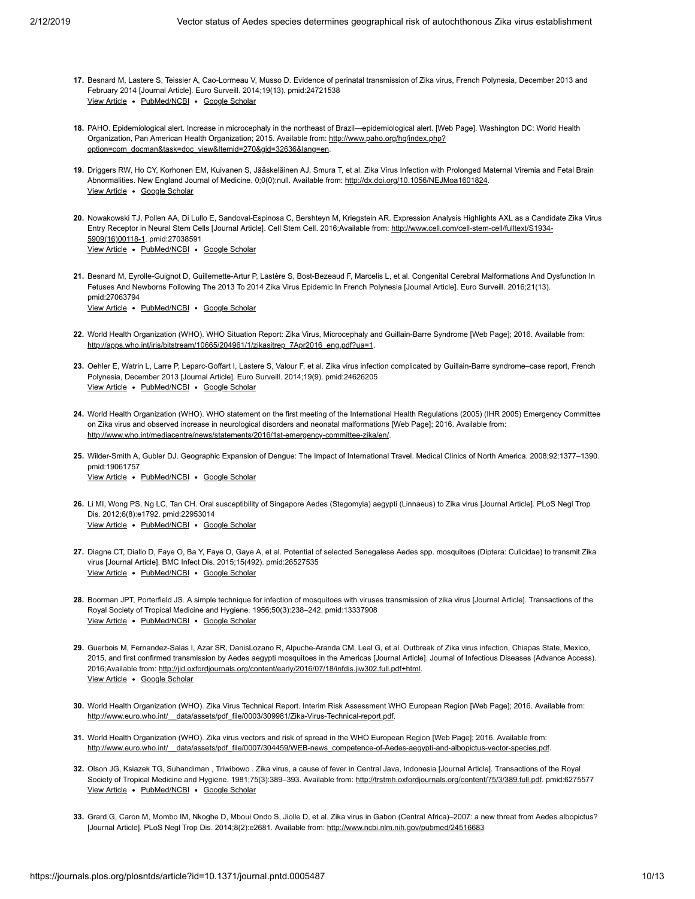- <span id="page-9-10"></span>**17.** Besnard M, Lastere S, Teissier A, Cao-Lormeau V, Musso D. Evidence of perinatal transmission of Zika virus, French Polynesia, December 2013 and [View Article](https://doi.org/10.2807/1560-7917.ES2014.19.13.20751) . [PubMed/NCBI](http://www.ncbi.nlm.nih.gov/pubmed/24721538) . [Google Scholar](http://scholar.google.com/scholar?q=Evidence+of+perinatal+transmission+of+Zika+virus%2C+French+Polynesia%2C+December+2013+and+February+2014+Besnard+2014) February 2014 [Journal Article]. Euro Surveill. 2014;19(13). pmid:24721538
- **18.** PAHO. Epidemiological alert. Increase in microcephaly in the northeast of Brazil—epidemiological alert. [Web Page]. Washington DC: World Health [Organization, Pan American Health Organization; 2015. Available from: http://www.paho.org/hq/index.php?](http://www.paho.org/hq/index.php?option=com_docman&task=doc_view&Itemid=270&gid=32636&lang=en) option=com\_docman&task=doc\_view&Itemid=270&gid=32636&lang=en.
- **19.** Driggers RW, Ho CY, Korhonen EM, Kuivanen S, Jääskeläinen AJ, Smura T, et al. Zika Virus Infection with Prolonged Maternal Viremia and Fetal Brain View Article . [Google Scholar](http://scholar.google.com/scholar?q=Zika+Virus+Infection+with+Prolonged+Maternal+Viremia+and+Fetal+Brain+Abnormalities+Driggers+) Abnormalities. New England Journal of Medicine. 0;0(0):null. Available from: [http://dx.doi.org/10.1056/NEJMoa1601824.](http://dx.doi.org/10.1056/NEJMoa1601824)
- **20.** Nowakowski TJ, Pollen AA, Di Lullo E, Sandoval-Espinosa C, Bershteyn M, Kriegstein AR. Expression Analysis Highlights AXL as a Candidate Zika Virus View Article . [PubMed/NCBI](http://www.ncbi.nlm.nih.gov/pubmed/27038591) . [Google Scholar](http://scholar.google.com/scholar?q=Expression+Analysis+Highlights+AXL+as+a+Candidate+Zika+Virus+Entry+Receptor+in+Neural+Stem+Cells+Nowakowski+2016) [Entry Receptor in Neural Stem Cells \[Journal Article\]. Cell Stem Cell. 2016;Available from: http://www.cell.com/cell-stem-cell/fulltext/S1934-](http://www.cell.com/cell-stem-cell/fulltext/S1934-5909(16)00118-1) 5909(16)00118-1. pmid:27038591
- **21.** Besnard M, Eyrolle-Guignot D, Guillemette-Artur P, Lastère S, Bost-Bezeaud F, Marcelis L, et al. Congenital Cerebral Malformations And Dysfunction In Fetuses And Newborns Following The 2013 To 2014 Zika Virus Epidemic In French Polynesia [Journal Article]. Euro Surveill. 2016;21(13). pmid:27063794

[View Article](https://doi.org/10.2807/1560-7917.ES.2016.21.13.30181) . [PubMed/NCBI](http://www.ncbi.nlm.nih.gov/pubmed/27063794) . [Google Scholar](http://scholar.google.com/scholar?q=Congenital+Cerebral+Malformations+And+Dysfunction+In+Fetuses+And+Newborns+Following+The+2013+To+2014+Zika+Virus+Epidemic+In+French+Polynesia+Besnard+2016)

- <span id="page-9-0"></span>**22.** World Health Organization (WHO). WHO Situation Report: Zika Virus, Microcephaly and Guillain-Barre Syndrome [Web Page]; 2016. Available from: [http://apps.who.int/iris/bitstream/10665/204961/1/zikasitrep\\_7Apr2016\\_eng.pdf?ua=1.](http://apps.who.int/iris/bitstream/10665/204961/1/zikasitrep_7Apr2016_eng.pdf?ua=1)
- <span id="page-9-1"></span>**23.** Oehler E, Watrin L, Larre P, Leparc-Goffart I, Lastere S, Valour F, et al. Zika virus infection complicated by Guillain-Barre syndrome–case report, French [View Article](https://doi.org/10.2807/1560-7917.ES2014.19.9.20720) . [PubMed/NCBI](http://www.ncbi.nlm.nih.gov/pubmed/24626205) . [Google Scholar](http://scholar.google.com/scholar?q=Zika+virus+infection+complicated+by+Guillain-Barre+syndrome%E2%80%93case+report%2C+French+Polynesia%2C+December+2013+Oehler+2014) Polynesia, December 2013 [Journal Article]. Euro Surveill. 2014;19(9). pmid:24626205
- <span id="page-9-2"></span>**24.** World Health Organization (WHO). WHO statement on the first meeting of the International Health Regulations (2005) (IHR 2005) Emergency Committee on Zika virus and observed increase in neurological disorders and neonatal malformations [Web Page]; 2016. Available from: [http://www.who.int/mediacentre/news/statements/2016/1st-emergency-committee-zika/en/.](http://www.who.int/mediacentre/news/statements/2016/1st-emergency-committee-zika/en/)
- <span id="page-9-3"></span>**25.** Wilder-Smith A, Gubler DJ. Geographic Expansion of Dengue: The Impact of International Travel. Medical Clinics of North America. 2008;92:1377–1390. [View Article](https://doi.org/10.1016/j.mcna.2008.07.002) . [PubMed/NCBI](http://www.ncbi.nlm.nih.gov/pubmed/19061757) . [Google Scholar](http://scholar.google.com/scholar?q=Geographic+Expansion+of+Dengue%3A+The+Impact+of+International+Travel+Wilder-Smith+2008) pmid:19061757

- <span id="page-9-4"></span>**26.** Li MI, Wong PS, Ng LC, Tan CH. Oral susceptibility of Singapore Aedes (Stegomyia) aegypti (Linnaeus) to Zika virus [Journal Article]. PLoS Negl Trop [View Article](https://doi.org/10.1371/journal.pntd.0001792) . [PubMed/NCBI](http://www.ncbi.nlm.nih.gov/pubmed/22953014) . [Google Scholar](http://scholar.google.com/scholar?q=Oral+susceptibility+of+Singapore+Aedes+%28Stegomyia%29+aegypti+%28Linnaeus%29+to+Zika+virus+Li+2012) Dis. 2012;6(8):e1792. pmid:22953014
- **27.** Diagne CT, Diallo D, Faye O, Ba Y, Faye O, Gaye A, et al. Potential of selected Senegalese Aedes spp. mosquitoes (Diptera: Culicidae) to transmit Zika [View Article](https://doi.org/10.1186/s12879-015-1231-2) . [PubMed/NCBI](http://www.ncbi.nlm.nih.gov/pubmed/26527535) . [Google Scholar](http://scholar.google.com/scholar?q=Potential+of+selected+Senegalese+Aedes+spp.+mosquitoes+%28Diptera%3A+Culicidae%29+to+transmit+Zika+virus+Diagne+2015) virus [Journal Article]. BMC Infect Dis. 2015;15(492). pmid:26527535
- **28.** Boorman JPT, Porterfield JS. A simple technique for infection of mosquitoes with viruses transmission of zika virus [Journal Article]. Transactions of the [View Article](https://doi.org/10.1016/0035-9203(56)90029-3) . [PubMed/NCBI](http://www.ncbi.nlm.nih.gov/pubmed/13337908) . [Google Scholar](http://scholar.google.com/scholar?q=A+simple+technique+for+infection+of+mosquitoes+with+viruses+transmission+of+zika+virus+Boorman+1956) Royal Society of Tropical Medicine and Hygiene. 1956;50(3):238–242. pmid:13337908
- <span id="page-9-5"></span>**29.** Guerbois M, Fernandez-Salas I, Azar SR, DanisLozano R, Alpuche-Aranda CM, Leal G, et al. Outbreak of Zika virus infection, Chiapas State, Mexico, View Article . [Google Scholar](http://scholar.google.com/scholar?q=Outbreak+of+Zika+virus+infection%2C+Chiapas+State%2C+Mexico%2C+2015%2C+and+first+confirmed+transmission+by+Aedes+aegypti+mosquitoes+in+the+Americas+Guerbois+2016) 2015, and first confirmed transmission by Aedes aegypti mosquitoes in the Americas [Journal Article]. Journal of Infectious Diseases (Advance Access). 2016;Available from: <http://jid.oxfordjournals.org/content/early/2016/07/18/infdis.jiw302.full.pdf+html>.
- <span id="page-9-6"></span>**30.** World Health Organization (WHO). Zika Virus Technical Report. Interim Risk Assessment WHO European Region [Web Page]; 2016. Available from: http://www.euro.who.int/ data/assets/pdf file/0003/309981/Zika-Virus-Technical-report.pdf.
- <span id="page-9-9"></span>**31.** World Health Organization (WHO). Zika virus vectors and risk of spread in the WHO European Region [Web Page]; 2016. Available from: http://www.euro.who.int/ data/assets/pdf\_file/0007/304459/WEB-news\_competence-of-Aedes-aegypti-and-albopictus-vector-species.pdf.
- <span id="page-9-7"></span>**32.** Olson JG, Ksiazek TG, Suhandiman , Triwibowo . Zika virus, a cause of fever in Central Java, Indonesia [Journal Article]. Transactions of the Royal View Article . [PubMed/NCBI](http://www.ncbi.nlm.nih.gov/pubmed/6275577) . [Google Scholar](http://scholar.google.com/scholar?q=Zika+virus%2C+a+cause+of+fever+in+Central+Java%2C+Indonesia+Olson+1981) Society of Tropical Medicine and Hygiene. 1981;75(3):389-393. Available from: <http://trstmh.oxfordjournals.org/content/75/3/389.full.pdf>. pmid:6275577
- <span id="page-9-8"></span>**33.** Grard G, Caron M, Mombo IM, Nkoghe D, Mboui Ondo S, Jiolle D, et al. Zika virus in Gabon (Central Africa)–2007: a new threat from Aedes albopictus? [Journal Article]. PLoS Negl Trop Dis. 2014;8(2):e2681. Available from:<http://www.ncbi.nlm.nih.gov/pubmed/24516683>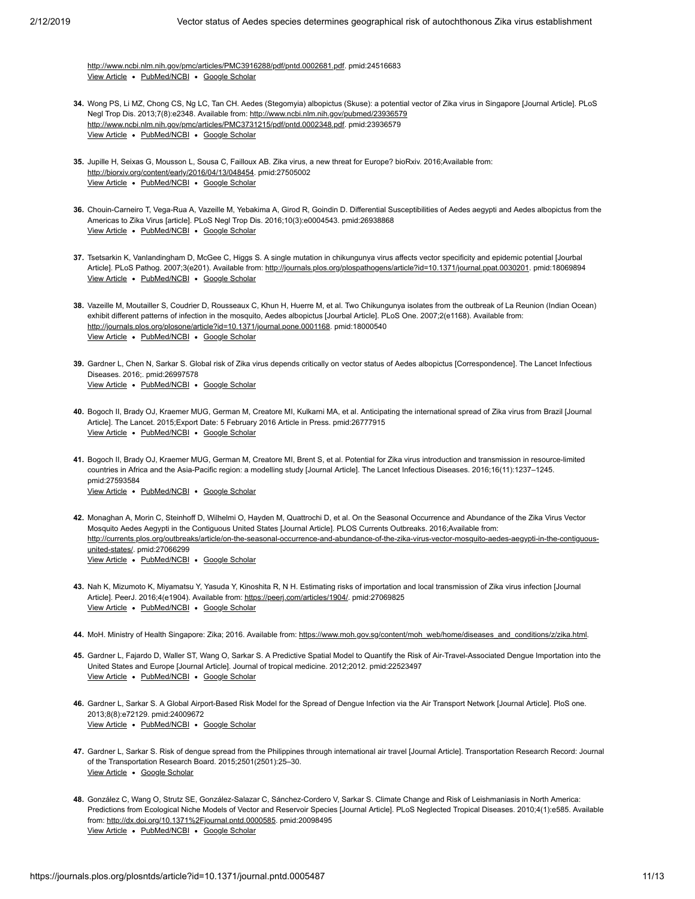View Article • [PubMed/NCBI](http://www.ncbi.nlm.nih.gov/pubmed/24516683) • [Google Scholar](http://scholar.google.com/scholar?q=Zika+virus+in+Gabon+%28Central+Africa%29%E2%80%932007%3A+a+new+threat+from+Aedes+albopictus%3F+Grard+2014) <http://www.ncbi.nlm.nih.gov/pmc/articles/PMC3916288/pdf/pntd.0002681.pdf>. pmid:24516683

- <span id="page-10-0"></span>**34.** Wong PS, Li MZ, Chong CS, Ng LC, Tan CH. Aedes (Stegomyia) albopictus (Skuse): a potential vector of Zika virus in Singapore [Journal Article]. PLoS View Article . [PubMed/NCBI](http://www.ncbi.nlm.nih.gov/pubmed/23936579) . [Google Scholar](http://scholar.google.com/scholar?q=Aedes+%28Stegomyia%29+albopictus+%28Skuse%29%3A+a+potential+vector+of+Zika+virus+in+Singapore+Wong+2013) Negl Trop Dis. 2013;7(8):e2348. Available from:<http://www.ncbi.nlm.nih.gov/pubmed/23936579> <http://www.ncbi.nlm.nih.gov/pmc/articles/PMC3731215/pdf/pntd.0002348.pdf>. pmid:23936579
- <span id="page-10-1"></span>**35.** Jupille H, Seixas G, Mousson L, Sousa C, Failloux AB. Zika virus, a new threat for Europe? bioRxiv. 2016;Available from: View Article · [PubMed/NCBI](http://www.ncbi.nlm.nih.gov/pubmed/27505002) · [Google Scholar](http://scholar.google.com/scholar?q=Zika+virus%2C+a+new+threat+for+Europe%3F+Jupille+2016) [http://biorxiv.org/content/early/2016/04/13/048454.](http://biorxiv.org/content/early/2016/04/13/048454) pmid:27505002
- <span id="page-10-2"></span>**36.** Chouin-Carneiro T, Vega-Rua A, Vazeille M, Yebakima A, Girod R, Goindin D. Differential Susceptibilities of Aedes aegypti and Aedes albopictus from the [View Article](https://doi.org/10.1371/journal.pntd.0004543) • [PubMed/NCBI](http://www.ncbi.nlm.nih.gov/pubmed/26938868) • [Google Scholar](http://scholar.google.com/scholar?q=Differential+Susceptibilities+of+Aedes+aegypti+and+Aedes+albopictus+from+the+Americas+to+Zika+Virus+Chouin-Carneiro+2016) Americas to Zika Virus [article]. PLoS Negl Trop Dis. 2016;10(3):e0004543. pmid:26938868
- <span id="page-10-3"></span>**37.** Tsetsarkin K, Vanlandingham D, McGee C, Higgs S. A single mutation in chikungunya virus affects vector specificity and epidemic potential [Jourbal View Article . [PubMed/NCBI](http://www.ncbi.nlm.nih.gov/pubmed/18069894) . [Google Scholar](http://scholar.google.com/scholar?q=A+single+mutation+in+chikungunya+virus+affects+vector+specificity+and+epidemic+potential+Tsetsarkin+2007) Article]. PLoS Pathog. 2007;3(e201). Available from: <http://journals.plos.org/plospathogens/article?id=10.1371/journal.ppat.0030201>. pmid:18069894
- <span id="page-10-4"></span>**38.** Vazeille M, Moutailler S, Coudrier D, Rousseaux C, Khun H, Huerre M, et al. Two Chikungunya isolates from the outbreak of La Reunion (Indian Ocean) View Article • [PubMed/NCBI](http://www.ncbi.nlm.nih.gov/pubmed/18000540) • [Google Scholar](http://scholar.google.com/scholar?q=Two+Chikungunya+isolates+from+the+outbreak+of+La+Reunion+%28Indian+Ocean%29+exhibit+different+patterns+of+infection+in+the+mosquito%2C+Aedes+albopictus+Vazeille+2007) exhibit different patterns of infection in the mosquito, Aedes albopictus [Jourbal Article]. PLoS One. 2007;2(e1168). Available from: [http://journals.plos.org/plosone/article?id=10.1371/journal.pone.0001168.](http://journals.plos.org/plosone/article?id=10.1371/journal.pone.0001168) pmid:18000540
- <span id="page-10-5"></span>**39.** Gardner L, Chen N, Sarkar S. Global risk of Zika virus depends critically on vector status of Aedes albopictus [Correspondence]. The Lancet Infectious [View Article](https://doi.org/10.1016/S1473-3099(16)00176-6) . [PubMed/NCBI](http://www.ncbi.nlm.nih.gov/pubmed/26997578) . [Google Scholar](http://scholar.google.com/scholar?q=Global+risk+of+Zika+virus+depends+critically+on+vector+status+of+Aedes+albopictus+Gardner+2016) Diseases. 2016;. pmid:26997578
- <span id="page-10-6"></span>**40.** Bogoch II, Brady OJ, Kraemer MUG, German M, Creatore MI, Kulkarni MA, et al. Anticipating the international spread of Zika virus from Brazil [Journal [View Article](https://doi.org/10.1016/S0140-6736(16)00080-5) . [PubMed/NCBI](http://www.ncbi.nlm.nih.gov/pubmed/26777915) . [Google Scholar](http://scholar.google.com/scholar?q=Anticipating+the+international+spread+of+Zika+virus+from+Brazil+Bogoch+2015) Article]. The Lancet. 2015;Export Date: 5 February 2016 Article in Press. pmid:26777915
- <span id="page-10-9"></span>**41.** Bogoch II, Brady OJ, Kraemer MUG, German M, Creatore MI, Brent S, et al. Potential for Zika virus introduction and transmission in resource-limited [View Article](https://doi.org/10.1016/S1473-3099(16)30270-5) . [PubMed/NCBI](http://www.ncbi.nlm.nih.gov/pubmed/27593584) . [Google Scholar](http://scholar.google.com/scholar?q=Potential+for+Zika+virus+introduction+and+transmission+in+resource-limited+countries+in+Africa+and+the+Asia-Pacific+region%3A+a+modelling+study+Bogoch+2016) countries in Africa and the Asia-Pacific region: a modelling study [Journal Article]. The Lancet Infectious Diseases. 2016;16(11):1237–1245. pmid:27593584
- <span id="page-10-8"></span>**42.** Monaghan A, Morin C, Steinhoff D, Wilhelmi O, Hayden M, Quattrochi D, et al. On the Seasonal Occurrence and Abundance of the Zika Virus Vector View Article . [PubMed/NCBI](http://www.ncbi.nlm.nih.gov/pubmed/27066299) . [Google Scholar](http://scholar.google.com/scholar?q=On+the+Seasonal+Occurrence+and+Abundance+of+the+Zika+Virus+Vector+Mosquito+Aedes+Aegypti+in+the+Contiguous+United+States+Monaghan+2016) Mosquito Aedes Aegypti in the Contiguous United States [Journal Article]. PLOS Currents Outbreaks. 2016;Available from: [http://currents.plos.org/outbreaks/article/on-the-seasonal-occurrence-and-abundance-of-the-zika-virus-vector-mosquito-aedes-aegypti-in-the-contiguous](http://currents.plos.org/outbreaks/article/on-the-seasonal-occurrence-and-abundance-of-the-zika-virus-vector-mosquito-aedes-aegypti-in-the-contiguous-united-states/)united-states/. pmid:27066299
- <span id="page-10-7"></span>**43.** Nah K, Mizumoto K, Miyamatsu Y, Yasuda Y, Kinoshita R, N H. Estimating risks of importation and local transmission of Zika virus infection [Journal View Article · [PubMed/NCBI](http://www.ncbi.nlm.nih.gov/pubmed/27069825) · [Google Scholar](http://scholar.google.com/scholar?q=Estimating+risks+of+importation+and+local+transmission+of+Zika+virus+infection+Nah+2016) Article]. PeerJ. 2016;4(e1904). Available from: [https://peerj.com/articles/1904/.](https://peerj.com/articles/1904/) pmid:27069825
- <span id="page-10-10"></span>44. MoH. Ministry of Health Singapore: Zika; 2016. Available from: [https://www.moh.gov.sg/content/moh\\_web/home/diseases\\_and\\_conditions/z/zika.html](https://www.moh.gov.sg/content/moh_web/home/diseases_and_conditions/z/zika.html).
- <span id="page-10-11"></span>**45.** Gardner L, Fajardo D, Waller ST, Wang O, Sarkar S. A Predictive Spatial Model to Quantify the Risk of Air-Travel-Associated Dengue Importation into the [View Article](https://doi.org/10.1155/2012/103679) . [PubMed/NCBI](http://www.ncbi.nlm.nih.gov/pubmed/22523497) . [Google Scholar](http://scholar.google.com/scholar?q=A+Predictive+Spatial+Model+to+Quantify+the+Risk+of+Air-Travel-Associated+Dengue+Importation+into+the+United+States+and+Europe+Gardner+2012) United States and Europe [Journal Article]. Journal of tropical medicine. 2012;2012. pmid:22523497
- **46.** Gardner L, Sarkar S. A Global Airport-Based Risk Model for the Spread of Dengue Infection via the Air Transport Network [Journal Article]. PloS one. [View Article](https://doi.org/10.1371/journal.pone.0072129) . [PubMed/NCBI](http://www.ncbi.nlm.nih.gov/pubmed/24009672) . [Google Scholar](http://scholar.google.com/scholar?q=A+Global+Airport-Based+Risk+Model+for+the+Spread+of+Dengue+Infection+via+the+Air+Transport+Network+Gardner+2013) 2013;8(8):e72129. pmid:24009672
- <span id="page-10-12"></span>**47.** Gardner L, Sarkar S. Risk of dengue spread from the Philippines through international air travel [Journal Article]. Transportation Research Record: Journal [View Article](https://doi.org/10.3141/2501-04) . [Google Scholar](http://scholar.google.com/scholar?q=Risk+of+dengue+spread+from+the+Philippines+through+international+air+travel+Gardner+2015) of the Transportation Research Board. 2015;2501(2501):25–30.
- <span id="page-10-13"></span>**48.** González C, Wang O, Strutz SE, González-Salazar C, Sánchez-Cordero V, Sarkar S. Climate Change and Risk of Leishmaniasis in North America: View Article . [PubMed/NCBI](http://www.ncbi.nlm.nih.gov/pubmed/20098495) . [Google Scholar](http://scholar.google.com/scholar?q=Climate+Change+and+Risk+of+Leishmaniasis+in+North+America%3A+Predictions+from+Ecological+Niche+Models+of+Vector+and+Reservoir+Species+Gonz%C3%A1lez+2010) Predictions from Ecological Niche Models of Vector and Reservoir Species [Journal Article]. PLoS Neglected Tropical Diseases. 2010;4(1):e585. Available from: [http://dx.doi.org/10.1371%2Fjournal.pntd.0000585.](http://dx.doi.org/10.1371%2Fjournal.pntd.0000585) pmid:20098495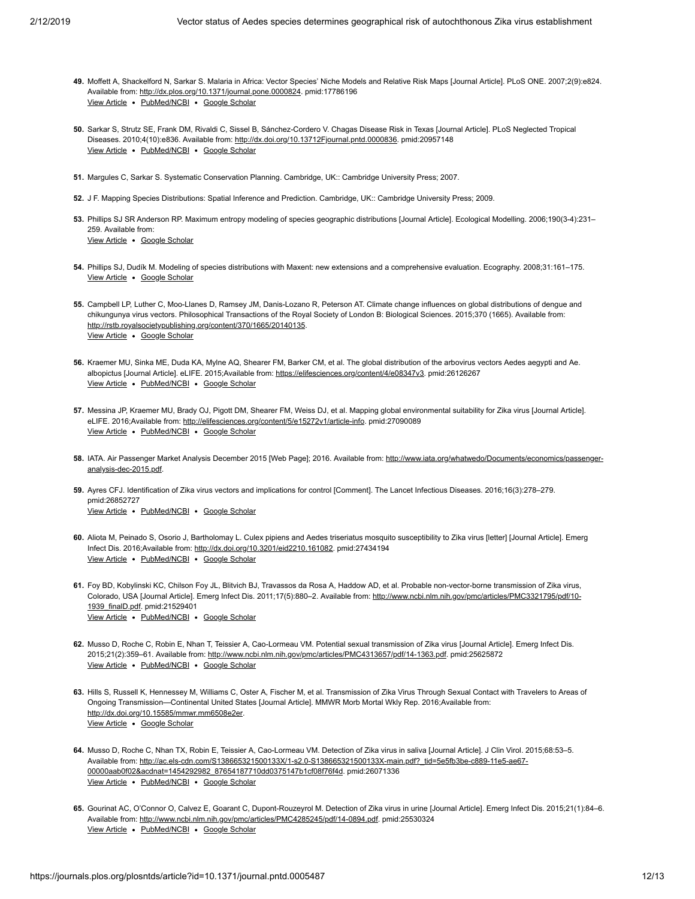- <span id="page-11-11"></span>**49.** Moffett A, Shackelford N, Sarkar S. Malaria in Africa: Vector Species' Niche Models and Relative Risk Maps [Journal Article]. PLoS ONE. 2007;2(9):e824. View Article · [PubMed/NCBI](http://www.ncbi.nlm.nih.gov/pubmed/17786196) · [Google Scholar](http://scholar.google.com/scholar?q=Malaria+in+Africa%3A+Vector+Species%E2%80%99+Niche+Models+and+Relative+Risk+Maps+Moffett+2007) Available from:<http://dx.plos.org/10.1371/journal.pone.0000824>. pmid:17786196
- <span id="page-11-0"></span>**50.** Sarkar S, Strutz SE, Frank DM, Rivaldi C, Sissel B, Sánchez-Cordero V. Chagas Disease Risk in Texas [Journal Article]. PLoS Neglected Tropical View Article . [PubMed/NCBI](http://www.ncbi.nlm.nih.gov/pubmed/20957148) . [Google Scholar](http://scholar.google.com/scholar?q=Chagas+Disease+Risk+in+Texas+Sarkar+2010) Diseases. 2010;4(10):e836. Available from: [http://dx.doi.org/10.13712Fjournal.pntd.0000836.](http://dx.doi.org/10.13712Fjournal.pntd.0000836) pmid:20957148
- <span id="page-11-1"></span>**51.** Margules C, Sarkar S. Systematic Conservation Planning. Cambridge, UK:: Cambridge University Press; 2007.
- <span id="page-11-2"></span>**52.** J F. Mapping Species Distributions: Spatial Inference and Prediction. Cambridge, UK:: Cambridge University Press; 2009.
- <span id="page-11-3"></span>**53.** Phillips SJ SR Anderson RP. Maximum entropy modeling of species geographic distributions [Journal Article]. Ecological Modelling. 2006;190(3-4):231– [View Article](https://doi.org/10.1016/j.ecolmodel.2005.03.026) . [Google Scholar](http://scholar.google.com/scholar?q=Maximum+entropy+modeling+of+species+geographic+distributions+Phillips+2006) 259. Available from:
- <span id="page-11-4"></span>**54.** Phillips SJ, Dudík M. Modeling of species distributions with Maxent: new extensions and a comprehensive evaluation. Ecography. 2008;31:161–175. [View Article](https://doi.org/10.1111/j.0906-7590.2008.5203.x) • [Google Scholar](http://scholar.google.com/scholar?q=Modeling+of+species+distributions+with+Maxent%3A+new+extensions+and+a+comprehensive+evaluation+Phillips+2008)
- <span id="page-11-5"></span>**55.** Campbell LP, Luther C, Moo-Llanes D, Ramsey JM, Danis-Lozano R, Peterson AT. Climate change influences on global distributions of dengue and View Article . [Google Scholar](http://scholar.google.com/scholar?q=Climate+change+influences+on+global+distributions+of+dengue+and+chikungunya+virus+vectors+Campbell+2015) chikungunya virus vectors. Philosophical Transactions of the Royal Society of London B: Biological Sciences. 2015;370 (1665). Available from: [http://rstb.royalsocietypublishing.org/content/370/1665/20140135.](http://rstb.royalsocietypublishing.org/content/370/1665/20140135)
- <span id="page-11-6"></span>**56.** Kraemer MU, Sinka ME, Duda KA, Mylne AQ, Shearer FM, Barker CM, et al. The global distribution of the arbovirus vectors Aedes aegypti and Ae. View Article . [PubMed/NCBI](http://www.ncbi.nlm.nih.gov/pubmed/26126267) . [Google Scholar](http://scholar.google.com/scholar?q=The+global+distribution+of+the+arbovirus+vectors+Aedes+aegypti+and+Ae.+albopictus+Kraemer+2015) albopictus [Journal Article]. eLIFE. 2015;Available from:<https://elifesciences.org/content/4/e08347v3>. pmid:26126267
- <span id="page-11-7"></span>**57.** Messina JP, Kraemer MU, Brady OJ, Pigott DM, Shearer FM, Weiss DJ, et al. Mapping global environmental suitability for Zika virus [Journal Article]. View Article . [PubMed/NCBI](http://www.ncbi.nlm.nih.gov/pubmed/27090089) . [Google Scholar](http://scholar.google.com/scholar?q=Mapping+global+environmental+suitability+for+Zika+virus+Messina+2016) eLIFE. 2016;Available from:<http://elifesciences.org/content/5/e15272v1/article-info>. pmid:27090089
- <span id="page-11-8"></span>58. [IATA. Air Passenger Market Analysis December 2015 \[Web Page\]; 2016. Available from: http://www.iata.org/whatwedo/Documents/economics/passenger](http://www.iata.org/whatwedo/Documents/economics/passenger-analysis-dec-2015.pdf)analysis-dec-2015.pdf.
- <span id="page-11-9"></span>**59.** Ayres CFJ. Identification of Zika virus vectors and implications for control [Comment]. The Lancet Infectious Diseases. 2016;16(3):278–279. [View Article](https://doi.org/10.1016/S1473-3099(16)00073-6) . [PubMed/NCBI](http://www.ncbi.nlm.nih.gov/pubmed/26852727) . [Google Scholar](http://scholar.google.com/scholar?q=Identification+of+Zika+virus+vectors+and+implications+for+control+Ayres+2016) pmid:26852727
- <span id="page-11-10"></span>**60.** Aliota M, Peinado S, Osorio J, Bartholomay L. Culex pipiens and Aedes triseriatus mosquito susceptibility to Zika virus [letter] [Journal Article]. Emerg View Article . [PubMed/NCBI](http://www.ncbi.nlm.nih.gov/pubmed/27434194) . [Google Scholar](http://scholar.google.com/scholar?q=Culex+pipiens+and+Aedes+triseriatus+mosquito+susceptibility+to+Zika+virus+Aliota+2016) Infect Dis. 2016;Available from:<http://dx.doi.org/10.3201/eid2210.161082>. pmid:27434194
- <span id="page-11-12"></span>**61.** Foy BD, Kobylinski KC, Chilson Foy JL, Blitvich BJ, Travassos da Rosa A, Haddow AD, et al. Probable non-vector-borne transmission of Zika virus, View Article . [PubMed/NCBI](http://www.ncbi.nlm.nih.gov/pubmed/21529401) . [Google Scholar](http://scholar.google.com/scholar?q=Probable+non-vector-borne+transmission+of+Zika+virus%2C+Colorado%2C+USA+Foy+2011) Colorado, USA [Journal Article]. Emerg Infect Dis. 2011;17(5):880-2. Available from: http://www.ncbi.nlm.nih.gov/pmc/articles/PMC3321795/pdf/10-1939\_finalD.pdf. pmid:21529401
- **62.** Musso D, Roche C, Robin E, Nhan T, Teissier A, Cao-Lormeau VM. Potential sexual transmission of Zika virus [Journal Article]. Emerg Infect Dis. View Article . [PubMed/NCBI](http://www.ncbi.nlm.nih.gov/pubmed/25625872) . [Google Scholar](http://scholar.google.com/scholar?q=Potential+sexual+transmission+of+Zika+virus+Musso+2015) 2015;21(2):359–61. Available from:<http://www.ncbi.nlm.nih.gov/pmc/articles/PMC4313657/pdf/14-1363.pdf>. pmid:25625872
- <span id="page-11-13"></span>**63.** Hills S, Russell K, Hennessey M, Williams C, Oster A, Fischer M, et al. Transmission of Zika Virus Through Sexual Contact with Travelers to Areas of View Article . [Google Scholar](http://scholar.google.com/scholar?q=Transmission+of+Zika+Virus+Through+Sexual+Contact+with+Travelers+to+Areas+of+Ongoing+Transmission%E2%80%94Continental+United+States+Hills+2016) Ongoing Transmission—Continental United States [Journal Article]. MMWR Morb Mortal Wkly Rep. 2016;Available from: [http://dx.doi.org/10.15585/mmwr.mm6508e2er.](http://dx.doi.org/10.15585/mmwr.mm6508e2er)
- <span id="page-11-14"></span>**64.** Musso D, Roche C, Nhan TX, Robin E, Teissier A, Cao-Lormeau VM. Detection of Zika virus in saliva [Journal Article]. J Clin Virol. 2015;68:53–5. View Article · [PubMed/NCBI](http://www.ncbi.nlm.nih.gov/pubmed/26071336) · [Google Scholar](http://scholar.google.com/scholar?q=Detection+of+Zika+virus+in+saliva+Musso+2015) [Available from: http://ac.els-cdn.com/S138665321500133X/1-s2.0-S138665321500133X-main.pdf?\\_tid=5e5fb3be-c889-11e5-ae67-](http://ac.els-cdn.com/S138665321500133X/1-s2.0-S138665321500133X-main.pdf?_tid=5e5fb3be-c889-11e5-ae67-00000aab0f02&acdnat=1454292982_87654187710dd0375147b1cf08f76f4d) 00000aab0f02&acdnat=1454292982\_87654187710dd0375147b1cf08f76f4d. pmid:26071336
- <span id="page-11-15"></span>**65.** Gourinat AC, O'Connor O, Calvez E, Goarant C, Dupont-Rouzeyrol M. Detection of Zika virus in urine [Journal Article]. Emerg Infect Dis. 2015;21(1):84–6. View Article . [PubMed/NCBI](http://www.ncbi.nlm.nih.gov/pubmed/25530324) . [Google Scholar](http://scholar.google.com/scholar?q=Detection+of+Zika+virus+in+urine+Gourinat+2015) Available from:<http://www.ncbi.nlm.nih.gov/pmc/articles/PMC4285245/pdf/14-0894.pdf>. pmid:25530324